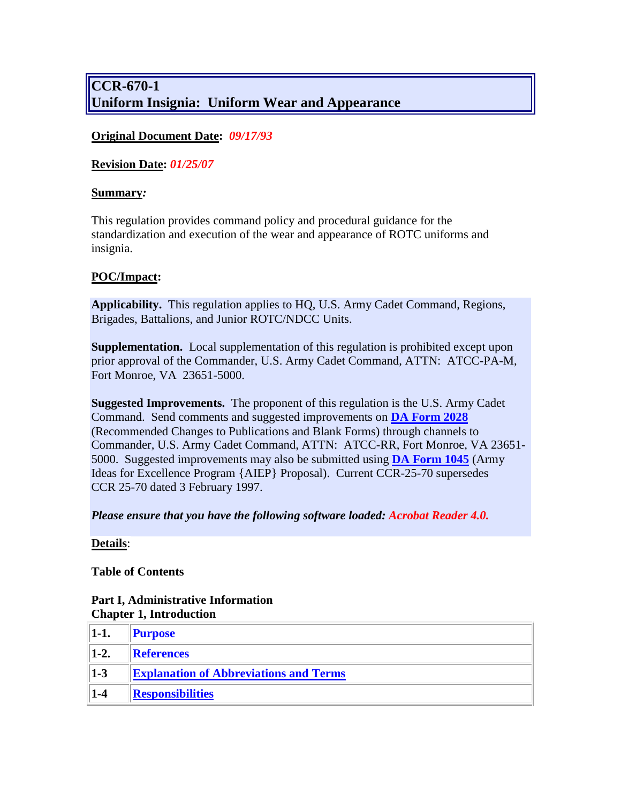# **CCR-670-1 Uniform Insignia: Uniform Wear and Appearance**

### **Original Document Date:** *09/17/93*

**Revision Date:** *01/25/07*

#### **Summary***:*

This regulation provides command policy and procedural guidance for the standardization and execution of the wear and appearance of ROTC uniforms and insignia.

### **POC/Impact:**

**Applicability.** This regulation applies to HQ, U.S. Army Cadet Command, Regions, Brigades, Battalions, and Junior ROTC/NDCC Units.

**Supplementation.** Local supplementation of this regulation is prohibited except upon prior approval of the Commander, U.S. Army Cadet Command, ATTN: ATCC-PA-M, Fort Monroe, VA 23651-5000.

**Suggested Improvements.** The proponent of this regulation is the U.S. Army Cadet Command. Send comments and suggested improvements on **[DA Form 2028](http://www.apd.army.mil/pub/eforms/pdf/a2028.pdf)** (Recommended Changes to Publications and Blank Forms) through channels to Commander, U.S. Army Cadet Command, ATTN: ATCC-RR, Fort Monroe, VA 23651- 5000. Suggested improvements may also be submitted using **[DA Form 1045](http://www.apd.army.mil/pub/eforms/pdf/a1045.pdf)** (Army Ideas for Excellence Program {AIEP} Proposal). Current CCR-25-70 supersedes CCR 25-70 dated 3 February 1997.

*Please ensure that you have the following software loaded: Acrobat Reader 4.0.*

### **Details**:

**Table of Contents**

### **Part I, Administrative Information Chapter 1, Introduction**

<span id="page-0-0"></span>

| $1-1.$ | <b>Purpose</b>                                |  |
|--------|-----------------------------------------------|--|
| $1-2.$ | References                                    |  |
| $1-3$  | <b>Explanation of Abbreviations and Terms</b> |  |
| $1-4$  | <b>Responsibilities</b>                       |  |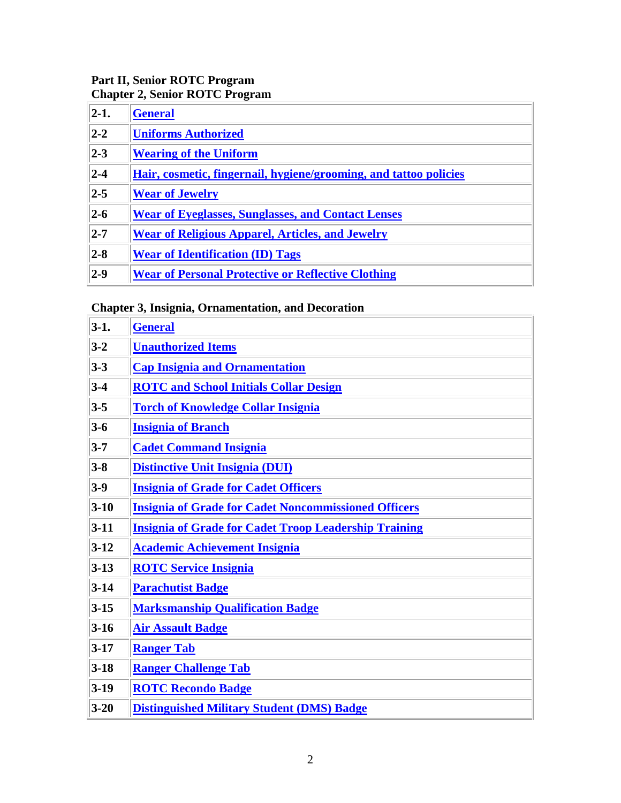### **Part II, Senior ROTC Program Chapter 2, Senior ROTC Program**

<span id="page-1-0"></span>

| $ 2-1 $ .        | <b>General</b>                                                    |  |
|------------------|-------------------------------------------------------------------|--|
| $ 2-2 $          | <b>Uniforms Authorized</b>                                        |  |
| $ 2-3 $          | <b>Wearing of the Uniform</b>                                     |  |
| $\overline{2-4}$ | Hair, cosmetic, fingernail, hygiene/grooming, and tattoo policies |  |
| $2 - 5$          | <b>Wear of Jewelry</b>                                            |  |
| $2-6$            | <b>Wear of Eyeglasses, Sunglasses, and Contact Lenses</b>         |  |
| $ 2 - 7 $        | <b>Wear of Religious Apparel, Articles, and Jewelry</b>           |  |
| $\overline{2-8}$ | <b>Wear of Identification (ID) Tags</b>                           |  |
| $\vert$ 2-9      | <b>Wear of Personal Protective or Reflective Clothing</b>         |  |

# **Chapter 3, Insignia, Ornamentation, and Decoration**

<span id="page-1-1"></span>

| $3-1.$   | <b>General</b>                                               |  |
|----------|--------------------------------------------------------------|--|
| $3 - 2$  | <b>Unauthorized Items</b>                                    |  |
| $3 - 3$  | <b>Cap Insignia and Ornamentation</b>                        |  |
| $3 - 4$  | <b>ROTC</b> and School Initials Collar Design                |  |
| $3 - 5$  | <b>Torch of Knowledge Collar Insignia</b>                    |  |
| $3 - 6$  | <b>Insignia of Branch</b>                                    |  |
| $3 - 7$  | <b>Cadet Command Insignia</b>                                |  |
| $3 - 8$  | <b>Distinctive Unit Insignia (DUI)</b>                       |  |
| $3-9$    | <b>Insignia of Grade for Cadet Officers</b>                  |  |
| $3-10$   | <b>Insignia of Grade for Cadet Noncommissioned Officers</b>  |  |
| $3-11$   | <b>Insignia of Grade for Cadet Troop Leadership Training</b> |  |
| $3-12$   | <b>Academic Achievement Insignia</b>                         |  |
| $3-13$   | <b>ROTC Service Insignia</b>                                 |  |
| $3-14$   | <b>Parachutist Badge</b>                                     |  |
| $3 - 15$ | <b>Marksmanship Qualification Badge</b>                      |  |
| $3-16$   | <b>Air Assault Badge</b>                                     |  |
| $3-17$   | <b>Ranger Tab</b>                                            |  |
| $3-18$   | <b>Ranger Challenge Tab</b>                                  |  |
| $3-19$   | <b>ROTC Recondo Badge</b>                                    |  |
| $3 - 20$ | <b>Distinguished Military Student (DMS) Badge</b>            |  |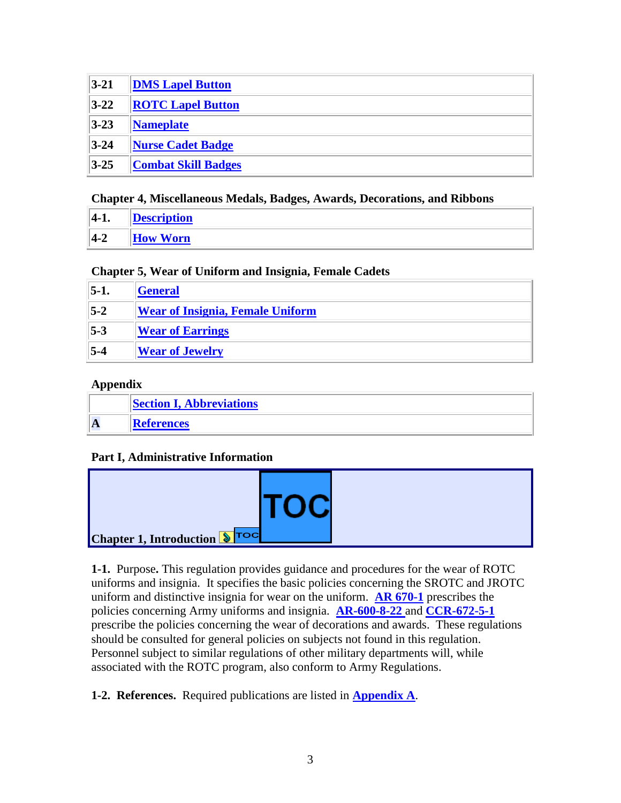| $ 3-21 $ | <b>DMS Lapel Button</b>    |
|----------|----------------------------|
| $3 - 22$ | <b>ROTC Lapel Button</b>   |
| $ 3-23 $ | <b>Nameplate</b>           |
| $3 - 24$ | <b>Nurse Cadet Badge</b>   |
| $ 3-25 $ | <b>Combat Skill Badges</b> |

### **Chapter 4, Miscellaneous Medals, Badges, Awards, Decorations, and Ribbons**

<span id="page-2-2"></span>

| $ 4-1.$ | escription                     |
|---------|--------------------------------|
| $ 4-2 $ | <b>Worn</b><br>$\mathbf{H}$ ow |

### **Chapter 5, Wear of Uniform and Insignia, Female Cadets**

| $ 5-1 $ | <b>General</b>                          |
|---------|-----------------------------------------|
| $5-2$   | <b>Wear of Insignia, Female Uniform</b> |
| $5-3$   | <b>Wear of Earrings</b>                 |
| $5-4$   | <b>Wear of Jewelry</b>                  |

### <span id="page-2-3"></span>**Appendix**

<span id="page-2-4"></span>

| <b>Section I, Abbreviations</b> |  |
|---------------------------------|--|
| <b>References</b>               |  |

### **Part I, Administrative Information**

| <b>ITOC</b><br>Chapter 1, Introduction STOC |
|---------------------------------------------|
|---------------------------------------------|

<span id="page-2-0"></span>**1-1.** [Purpose](#page-0-0)**.** This regulation provides guidance and procedures for the wear of ROTC uniforms and insignia. It specifies the basic policies concerning the SROTC and JROTC uniform and distinctive insignia for wear on the uniform. **[AR 670-1](http://www.usapa.army.mil/pdffiles/r670_1.pdf)** prescribes the policies concerning Army uniforms and insignia. **AR-600-8-22** and **[CCR-672-5-1](http://www.rightsite.usaac.army.mil/robo/projects/cc%20help/CCR_672_5_1.htm)** prescribe the policies concerning the wear of decorations and awards. These regulations should be consulted for general policies on subjects not found in this regulation. Personnel subject to similar regulations of other military departments will, while associated with the ROTC program, also conform to Army Regulations.

<span id="page-2-1"></span>**1-2. References.** Required publications are listed in **[Appendix A](http://www.rightsite.usaac.army.mil/robo/projects/cc%20help/CCR_670_1.htm#BM_AP_A#BM_AP_A)**.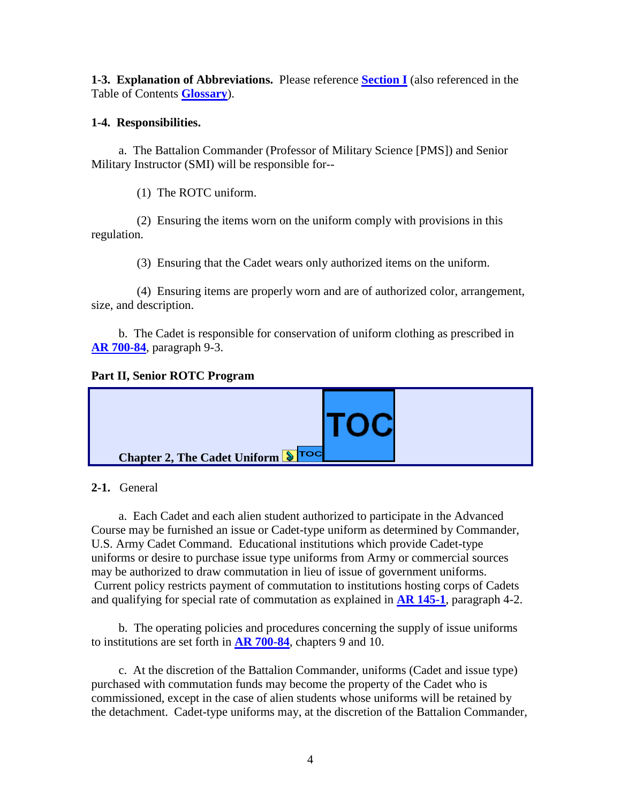**1-3. Explanation of Abbreviations.** Please reference **[Section I](http://www.rightsite.usaac.army.mil/robo/projects/cc%20help/CCR_670_1.htm#BM_SEC_I#BM_SEC_I)** (also referenced in the Table of Contents **[Glossary](http://www.rightsite.usaac.army.mil/robo/projects/cc%20help/RS_Glossary.htm)**).

### **1-4. Responsibilities.**

a. The Battalion Commander (Professor of Military Science [PMS]) and Senior Military Instructor (SMI) will be responsible for--

(1) The ROTC uniform.

(2) Ensuring the items worn on the uniform comply with provisions in this regulation.

(3) Ensuring that the Cadet wears only authorized items on the uniform.

(4) Ensuring items are properly worn and are of authorized color, arrangement, size, and description.

b. The Cadet is responsible for conservation of uniform clothing as prescribed in **AR [700-84](http://www.usapa.army.mil/pdffiles/r700_84.pdf)**, paragraph 9-3.

### **Part II, Senior ROTC Program**



<span id="page-3-0"></span>**2-1.** [General](#page-1-0)

a. Each Cadet and each alien student authorized to participate in the Advanced Course may be furnished an issue or Cadet-type uniform as determined by Commander, U.S. Army Cadet Command. Educational institutions which provide Cadet-type uniforms or desire to purchase issue type uniforms from Army or commercial sources may be authorized to draw commutation in lieu of issue of government uniforms. Current policy restricts payment of commutation to institutions hosting corps of Cadets and qualifying for special rate of commutation as explained in **[AR 145-1](http://www.usapa.army.mil/pdffiles/r145_1.pdf)**, paragraph 4-2.

b. The operating policies and procedures concerning the supply of issue uniforms to institutions are set forth in **[AR 700-84](http://www.usapa.army.mil/pdffiles/r700_84.pdf)**, chapters 9 and 10.

c. At the discretion of the Battalion Commander, uniforms (Cadet and issue type) purchased with commutation funds may become the property of the Cadet who is commissioned, except in the case of alien students whose uniforms will be retained by the detachment. Cadet-type uniforms may, at the discretion of the Battalion Commander,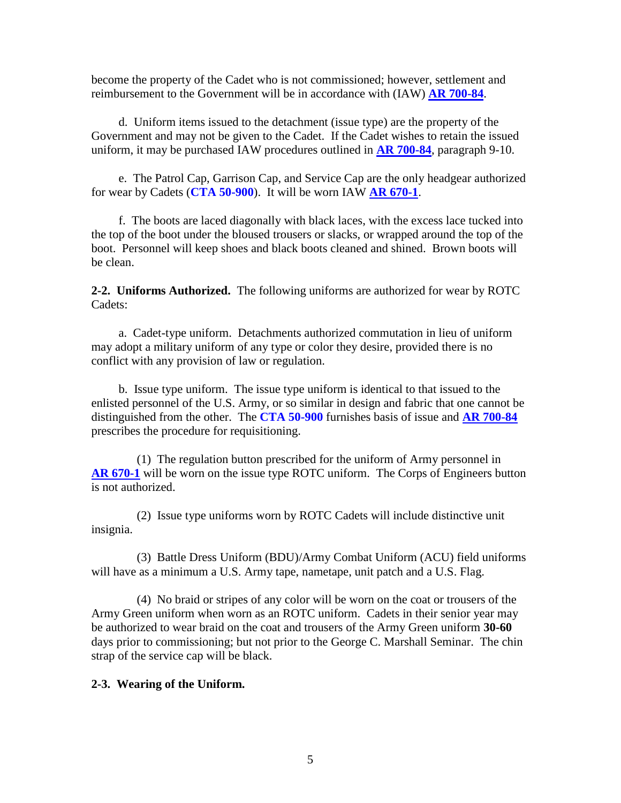become the property of the Cadet who is not commissioned; however, settlement and reimbursement to the Government will be in accordance with (IAW) **[AR 700-84](http://www.usapa.army.mil/pdffiles/r700_84.pdf)**.

d. Uniform items issued to the detachment (issue type) are the property of the Government and may not be given to the Cadet. If the Cadet wishes to retain the issued uniform, it may be purchased IAW procedures outlined in **[AR 700-84](http://www.usapa.army.mil/pdffiles/r700_84.pdf)**, paragraph 9-10.

e. The Patrol Cap, Garrison Cap, and Service Cap are the only headgear authorized for wear by Cadets (**CTA 50-900**). It will be worn IAW **[AR 670-1](http://www.usapa.army.mil/pdffiles/r670_1.pdf)**.

f. The boots are laced diagonally with black laces, with the excess lace tucked into the top of the boot under the bloused trousers or slacks, or wrapped around the top of the boot. Personnel will keep shoes and black boots cleaned and shined. Brown boots will be clean.

**2-2. Uniforms Authorized.** The following uniforms are authorized for wear by ROTC Cadets:

a. Cadet-type uniform. Detachments authorized commutation in lieu of uniform may adopt a military uniform of any type or color they desire, provided there is no conflict with any provision of law or regulation.

b. Issue type uniform. The issue type uniform is identical to that issued to the enlisted personnel of the U.S. Army, or so similar in design and fabric that one cannot be distinguished from the other. The **CTA 50-900** furnishes basis of issue and **AR [700-84](http://www.usapa.army.mil/pdffiles/r700_84.pdf)** prescribes the procedure for requisitioning.

(1) The regulation button prescribed for the uniform of Army personnel in **AR [670-1](http://www.usapa.army.mil/pdffiles/r670_1.pdf)** will be worn on the issue type ROTC uniform. The Corps of Engineers button is not authorized.

(2) Issue type uniforms worn by ROTC Cadets will include distinctive unit insignia.

(3) Battle Dress Uniform (BDU)/Army Combat Uniform (ACU) field uniforms will have as a minimum a U.S. Army tape, nametape, unit patch and a U.S. Flag.

(4) No braid or stripes of any color will be worn on the coat or trousers of the Army Green uniform when worn as an ROTC uniform. Cadets in their senior year may be authorized to wear braid on the coat and trousers of the Army Green uniform **30-60** days prior to commissioning; but not prior to the George C. Marshall Seminar. The chin strap of the service cap will be black.

### **2-3. Wearing of the Uniform.**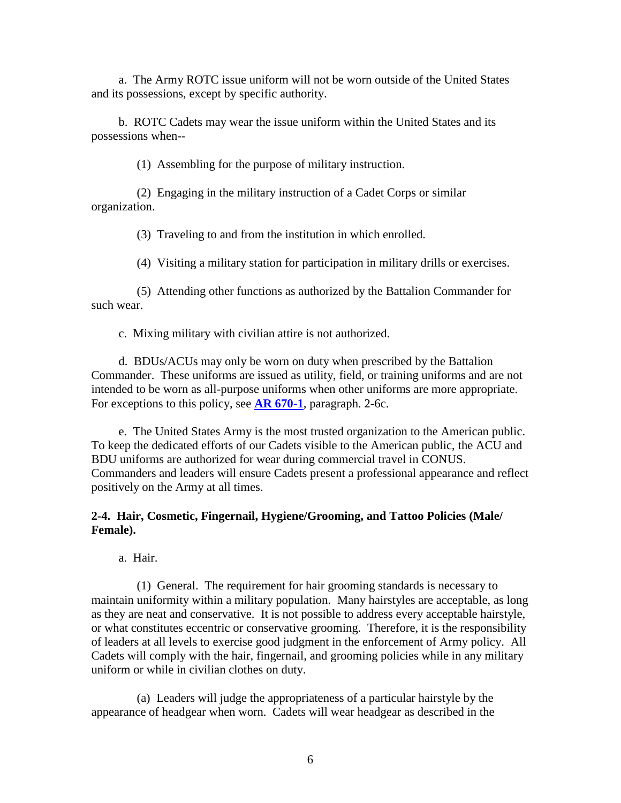a. The Army ROTC issue uniform will not be worn outside of the United States and its possessions, except by specific authority.

b. ROTC Cadets may wear the issue uniform within the United States and its possessions when--

(1) Assembling for the purpose of military instruction.

(2) Engaging in the military instruction of a Cadet Corps or similar organization.

(3) Traveling to and from the institution in which enrolled.

(4) Visiting a military station for participation in military drills or exercises.

(5) Attending other functions as authorized by the Battalion Commander for such wear.

c. Mixing military with civilian attire is not authorized.

d. BDUs/ACUs may only be worn on duty when prescribed by the Battalion Commander. These uniforms are issued as utility, field, or training uniforms and are not intended to be worn as all-purpose uniforms when other uniforms are more appropriate. For exceptions to this policy, see **[AR 670-1](http://www.usapa.army.mil/pdffiles/r670_1.pdf)**, paragraph. 2-6c.

e. The United States Army is the most trusted organization to the American public. To keep the dedicated efforts of our Cadets visible to the American public, the ACU and BDU uniforms are authorized for wear during commercial travel in CONUS. Commanders and leaders will ensure Cadets present a professional appearance and reflect positively on the Army at all times.

### <span id="page-5-0"></span>**2-4. Hair, Cosmetic, Fingernail, Hygiene/Grooming, and Tattoo Policies (Male/ Female).**

a. Hair.

(1) General. The requirement for hair grooming standards is necessary to maintain uniformity within a military population. Many hairstyles are acceptable, as long as they are neat and conservative. It is not possible to address every acceptable hairstyle, or what constitutes eccentric or conservative grooming. Therefore, it is the responsibility of leaders at all levels to exercise good judgment in the enforcement of Army policy. All Cadets will comply with the hair, fingernail, and grooming policies while in any military uniform or while in civilian clothes on duty.

(a) Leaders will judge the appropriateness of a particular hairstyle by the appearance of headgear when worn. Cadets will wear headgear as described in the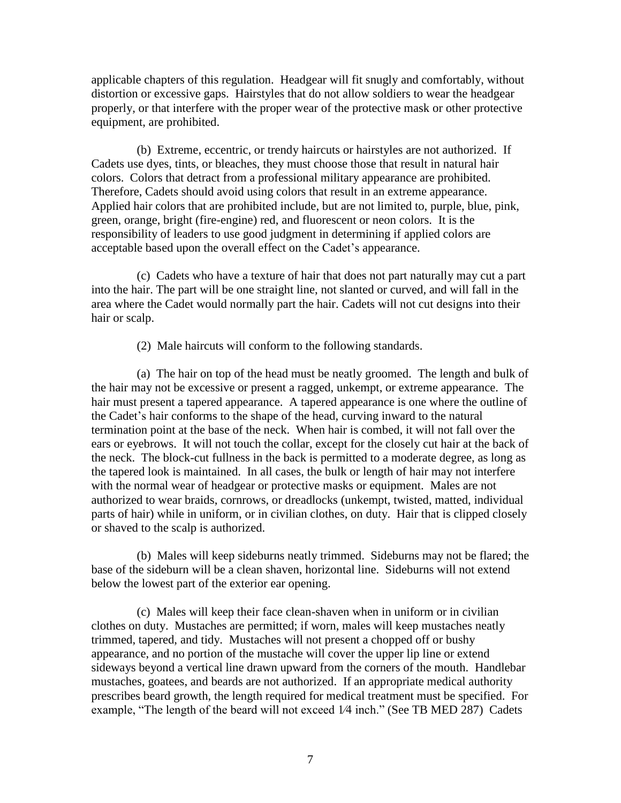applicable chapters of this regulation. Headgear will fit snugly and comfortably, without distortion or excessive gaps. Hairstyles that do not allow soldiers to wear the headgear properly, or that interfere with the proper wear of the protective mask or other protective equipment, are prohibited.

(b) Extreme, eccentric, or trendy haircuts or hairstyles are not authorized. If Cadets use dyes, tints, or bleaches, they must choose those that result in natural hair colors. Colors that detract from a professional military appearance are prohibited. Therefore, Cadets should avoid using colors that result in an extreme appearance. Applied hair colors that are prohibited include, but are not limited to, purple, blue, pink, green, orange, bright (fire-engine) red, and fluorescent or neon colors. It is the responsibility of leaders to use good judgment in determining if applied colors are acceptable based upon the overall effect on the Cadet's appearance.

(c) Cadets who have a texture of hair that does not part naturally may cut a part into the hair. The part will be one straight line, not slanted or curved, and will fall in the area where the Cadet would normally part the hair. Cadets will not cut designs into their hair or scalp.

(2) Male haircuts will conform to the following standards.

(a) The hair on top of the head must be neatly groomed. The length and bulk of the hair may not be excessive or present a ragged, unkempt, or extreme appearance. The hair must present a tapered appearance. A tapered appearance is one where the outline of the Cadet's hair conforms to the shape of the head, curving inward to the natural termination point at the base of the neck. When hair is combed, it will not fall over the ears or eyebrows. It will not touch the collar, except for the closely cut hair at the back of the neck. The block-cut fullness in the back is permitted to a moderate degree, as long as the tapered look is maintained. In all cases, the bulk or length of hair may not interfere with the normal wear of headgear or protective masks or equipment. Males are not authorized to wear braids, cornrows, or dreadlocks (unkempt, twisted, matted, individual parts of hair) while in uniform, or in civilian clothes, on duty. Hair that is clipped closely or shaved to the scalp is authorized.

(b) Males will keep sideburns neatly trimmed. Sideburns may not be flared; the base of the sideburn will be a clean shaven, horizontal line. Sideburns will not extend below the lowest part of the exterior ear opening.

(c) Males will keep their face clean-shaven when in uniform or in civilian clothes on duty. Mustaches are permitted; if worn, males will keep mustaches neatly trimmed, tapered, and tidy. Mustaches will not present a chopped off or bushy appearance, and no portion of the mustache will cover the upper lip line or extend sideways beyond a vertical line drawn upward from the corners of the mouth. Handlebar mustaches, goatees, and beards are not authorized. If an appropriate medical authority prescribes beard growth, the length required for medical treatment must be specified. For example, "The length of the beard will not exceed 1⁄4 inch." (See TB MED 287) Cadets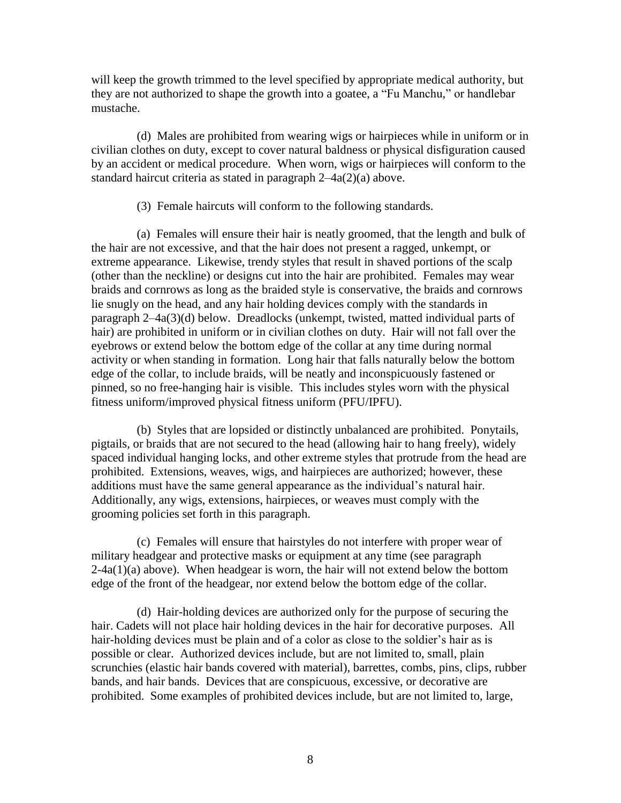will keep the growth trimmed to the level specified by appropriate medical authority, but they are not authorized to shape the growth into a goatee, a "Fu Manchu," or handlebar mustache.

(d) Males are prohibited from wearing wigs or hairpieces while in uniform or in civilian clothes on duty, except to cover natural baldness or physical disfiguration caused by an accident or medical procedure. When worn, wigs or hairpieces will conform to the standard haircut criteria as stated in paragraph 2–4a(2)(a) above.

(3) Female haircuts will conform to the following standards.

(a) Females will ensure their hair is neatly groomed, that the length and bulk of the hair are not excessive, and that the hair does not present a ragged, unkempt, or extreme appearance. Likewise, trendy styles that result in shaved portions of the scalp (other than the neckline) or designs cut into the hair are prohibited. Females may wear braids and cornrows as long as the braided style is conservative, the braids and cornrows lie snugly on the head, and any hair holding devices comply with the standards in paragraph 2–4a(3)(d) below. Dreadlocks (unkempt, twisted, matted individual parts of hair) are prohibited in uniform or in civilian clothes on duty. Hair will not fall over the eyebrows or extend below the bottom edge of the collar at any time during normal activity or when standing in formation. Long hair that falls naturally below the bottom edge of the collar, to include braids, will be neatly and inconspicuously fastened or pinned, so no free-hanging hair is visible. This includes styles worn with the physical fitness uniform/improved physical fitness uniform (PFU/IPFU).

(b) Styles that are lopsided or distinctly unbalanced are prohibited. Ponytails, pigtails, or braids that are not secured to the head (allowing hair to hang freely), widely spaced individual hanging locks, and other extreme styles that protrude from the head are prohibited. Extensions, weaves, wigs, and hairpieces are authorized; however, these additions must have the same general appearance as the individual's natural hair. Additionally, any wigs, extensions, hairpieces, or weaves must comply with the grooming policies set forth in this paragraph.

(c) Females will ensure that hairstyles do not interfere with proper wear of military headgear and protective masks or equipment at any time (see paragraph  $2-4a(1)(a)$  above). When headgear is worn, the hair will not extend below the bottom edge of the front of the headgear, nor extend below the bottom edge of the collar.

(d) Hair-holding devices are authorized only for the purpose of securing the hair. Cadets will not place hair holding devices in the hair for decorative purposes. All hair-holding devices must be plain and of a color as close to the soldier's hair as is possible or clear. Authorized devices include, but are not limited to, small, plain scrunchies (elastic hair bands covered with material), barrettes, combs, pins, clips, rubber bands, and hair bands. Devices that are conspicuous, excessive, or decorative are prohibited. Some examples of prohibited devices include, but are not limited to, large,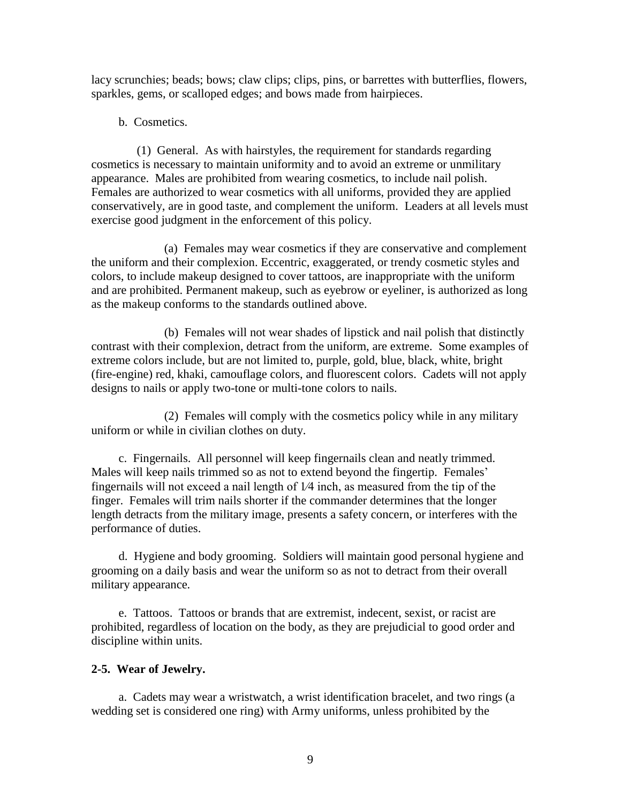lacy scrunchies; beads; bows; claw clips; clips, pins, or barrettes with butterflies, flowers, sparkles, gems, or scalloped edges; and bows made from hairpieces.

b. Cosmetics.

(1) General. As with hairstyles, the requirement for standards regarding cosmetics is necessary to maintain uniformity and to avoid an extreme or unmilitary appearance. Males are prohibited from wearing cosmetics, to include nail polish. Females are authorized to wear cosmetics with all uniforms, provided they are applied conservatively, are in good taste, and complement the uniform. Leaders at all levels must exercise good judgment in the enforcement of this policy.

(a) Females may wear cosmetics if they are conservative and complement the uniform and their complexion. Eccentric, exaggerated, or trendy cosmetic styles and colors, to include makeup designed to cover tattoos, are inappropriate with the uniform and are prohibited. Permanent makeup, such as eyebrow or eyeliner, is authorized as long as the makeup conforms to the standards outlined above.

(b) Females will not wear shades of lipstick and nail polish that distinctly contrast with their complexion, detract from the uniform, are extreme. Some examples of extreme colors include, but are not limited to, purple, gold, blue, black, white, bright (fire-engine) red, khaki, camouflage colors, and fluorescent colors. Cadets will not apply designs to nails or apply two-tone or multi-tone colors to nails.

(2) Females will comply with the cosmetics policy while in any military uniform or while in civilian clothes on duty.

c. Fingernails. All personnel will keep fingernails clean and neatly trimmed. Males will keep nails trimmed so as not to extend beyond the fingertip. Females' fingernails will not exceed a nail length of 1⁄4 inch, as measured from the tip of the finger. Females will trim nails shorter if the commander determines that the longer length detracts from the military image, presents a safety concern, or interferes with the performance of duties.

d. Hygiene and body grooming. Soldiers will maintain good personal hygiene and grooming on a daily basis and wear the uniform so as not to detract from their overall military appearance*.*

e. Tattoos. Tattoos or brands that are extremist, indecent, sexist, or racist are prohibited, regardless of location on the body, as they are prejudicial to good order and discipline within units.

### **2-5. Wear of Jewelry.**

a. Cadets may wear a wristwatch, a wrist identification bracelet, and two rings (a wedding set is considered one ring) with Army uniforms, unless prohibited by the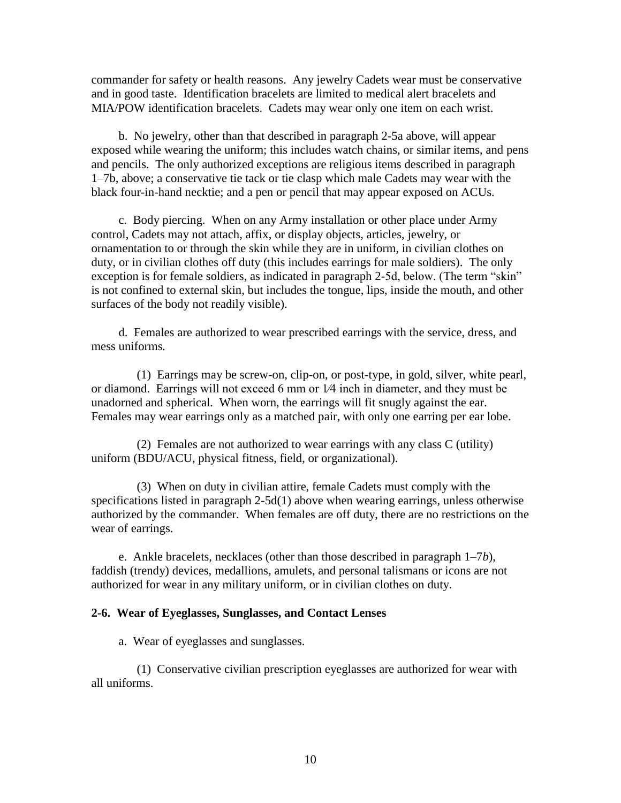commander for safety or health reasons. Any jewelry Cadets wear must be conservative and in good taste. Identification bracelets are limited to medical alert bracelets and MIA/POW identification bracelets. Cadets may wear only one item on each wrist.

b. No jewelry, other than that described in paragraph 2-5a above, will appear exposed while wearing the uniform; this includes watch chains, or similar items, and pens and pencils. The only authorized exceptions are religious items described in paragraph 1–7b, above; a conservative tie tack or tie clasp which male Cadets may wear with the black four-in-hand necktie; and a pen or pencil that may appear exposed on ACUs.

c. Body piercing. When on any Army installation or other place under Army control, Cadets may not attach, affix, or display objects, articles, jewelry, or ornamentation to or through the skin while they are in uniform, in civilian clothes on duty, or in civilian clothes off duty (this includes earrings for male soldiers). The only exception is for female soldiers, as indicated in paragraph 2-5d, below. (The term "skin" is not confined to external skin, but includes the tongue, lips, inside the mouth, and other surfaces of the body not readily visible).

d. Females are authorized to wear prescribed earrings with the service, dress, and mess uniforms*.*

(1) Earrings may be screw-on, clip-on, or post-type, in gold, silver, white pearl, or diamond. Earrings will not exceed 6 mm or 1⁄4 inch in diameter, and they must be unadorned and spherical. When worn, the earrings will fit snugly against the ear. Females may wear earrings only as a matched pair, with only one earring per ear lobe.

(2) Females are not authorized to wear earrings with any class C (utility) uniform (BDU/ACU, physical fitness, field, or organizational).

(3) When on duty in civilian attire, female Cadets must comply with the specifications listed in paragraph 2-5d(1) above when wearing earrings, unless otherwise authorized by the commander. When females are off duty, there are no restrictions on the wear of earrings.

e. Ankle bracelets, necklaces (other than those described in paragraph 1–7*b*), faddish (trendy) devices, medallions, amulets, and personal talismans or icons are not authorized for wear in any military uniform, or in civilian clothes on duty.

#### **2-6. Wear of Eyeglasses, Sunglasses, and Contact Lenses**

a. Wear of eyeglasses and sunglasses.

(1) Conservative civilian prescription eyeglasses are authorized for wear with all uniforms.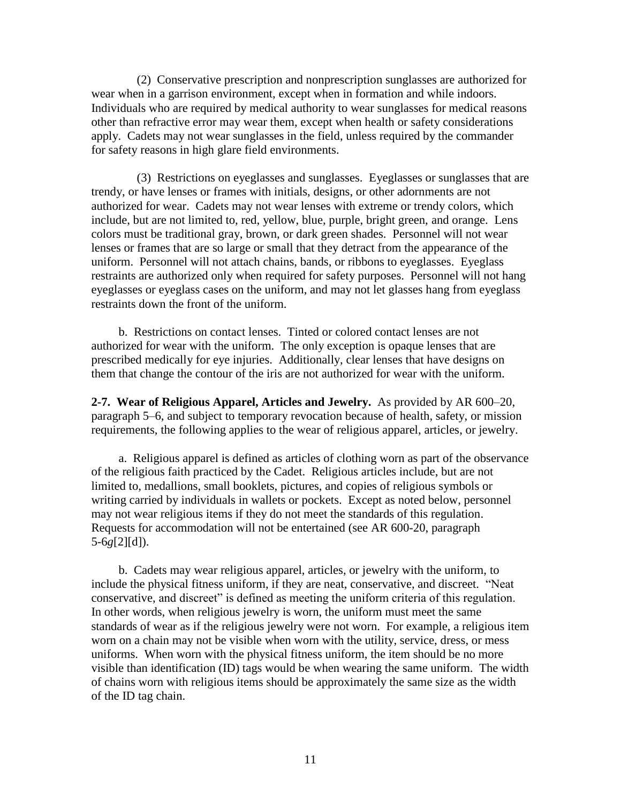(2) Conservative prescription and nonprescription sunglasses are authorized for wear when in a garrison environment, except when in formation and while indoors. Individuals who are required by medical authority to wear sunglasses for medical reasons other than refractive error may wear them, except when health or safety considerations apply. Cadets may not wear sunglasses in the field, unless required by the commander for safety reasons in high glare field environments.

(3) Restrictions on eyeglasses and sunglasses. Eyeglasses or sunglasses that are trendy, or have lenses or frames with initials, designs, or other adornments are not authorized for wear. Cadets may not wear lenses with extreme or trendy colors, which include, but are not limited to, red, yellow, blue, purple, bright green, and orange. Lens colors must be traditional gray, brown, or dark green shades. Personnel will not wear lenses or frames that are so large or small that they detract from the appearance of the uniform. Personnel will not attach chains, bands, or ribbons to eyeglasses. Eyeglass restraints are authorized only when required for safety purposes. Personnel will not hang eyeglasses or eyeglass cases on the uniform, and may not let glasses hang from eyeglass restraints down the front of the uniform.

b. Restrictions on contact lenses. Tinted or colored contact lenses are not authorized for wear with the uniform. The only exception is opaque lenses that are prescribed medically for eye injuries. Additionally, clear lenses that have designs on them that change the contour of the iris are not authorized for wear with the uniform.

**2-7. Wear of Religious Apparel, Articles and Jewelry.** As provided by AR 600–20, paragraph 5–6, and subject to temporary revocation because of health, safety, or mission requirements, the following applies to the wear of religious apparel, articles, or jewelry.

a. Religious apparel is defined as articles of clothing worn as part of the observance of the religious faith practiced by the Cadet. Religious articles include, but are not limited to, medallions, small booklets, pictures, and copies of religious symbols or writing carried by individuals in wallets or pockets. Except as noted below, personnel may not wear religious items if they do not meet the standards of this regulation. Requests for accommodation will not be entertained (see AR 600-20, paragraph 5-6*g*[2][d]).

b. Cadets may wear religious apparel, articles, or jewelry with the uniform, to include the physical fitness uniform, if they are neat, conservative, and discreet. "Neat conservative, and discreet" is defined as meeting the uniform criteria of this regulation. In other words, when religious jewelry is worn, the uniform must meet the same standards of wear as if the religious jewelry were not worn. For example, a religious item worn on a chain may not be visible when worn with the utility, service, dress, or mess uniforms. When worn with the physical fitness uniform, the item should be no more visible than identification (ID) tags would be when wearing the same uniform. The width of chains worn with religious items should be approximately the same size as the width of the ID tag chain.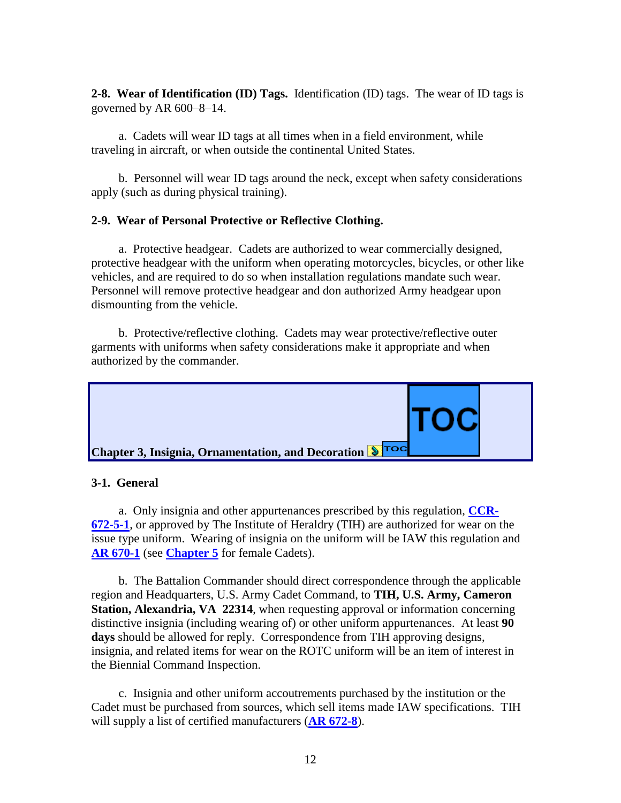**2-8. Wear of Identification (ID) Tags.** Identification (ID) tags. The wear of ID tags is governed by AR 600–8–14.

a. Cadets will wear ID tags at all times when in a field environment, while traveling in aircraft, or when outside the continental United States.

b. Personnel will wear ID tags around the neck, except when safety considerations apply (such as during physical training).

### **2-9. Wear of Personal Protective or Reflective Clothing.**

a. Protective headgear. Cadets are authorized to wear commercially designed, protective headgear with the uniform when operating motorcycles, bicycles, or other like vehicles, and are required to do so when installation regulations mandate such wear. Personnel will remove protective headgear and don authorized Army headgear upon dismounting from the vehicle.

b. Protective/reflective clothing. Cadets may wear protective/reflective outer garments with uniforms when safety considerations make it appropriate and when authorized by the commander.



### <span id="page-11-0"></span>**3-1. General**

a. Only insignia and other appurtenances prescribed by this regulation, **[CCR-](http://www.rightsite.usaac.army.mil/robo/projects/cc%20help/CCR_672_5_1.htm)[672-5-1](http://www.rightsite.usaac.army.mil/robo/projects/cc%20help/CCR_672_5_1.htm)**, or approved by The Institute of Heraldry (TIH) are authorized for wear on the issue type uniform. Wearing of insignia on the uniform will be IAW this regulation and **[AR 670-1](http://www.usapa.army.mil/pdffiles/r670_1.pdf)** (see **[Chapter 5](http://www.rightsite.usaac.army.mil/robo/projects/cc%20help/CCR_670_1.htm#BM_5_1#BM_5_1)** for female Cadets).

b. The Battalion Commander should direct correspondence through the applicable region and Headquarters, U.S. Army Cadet Command, to **TIH, U.S. Army, Cameron Station, Alexandria, VA 22314**, when requesting approval or information concerning distinctive insignia (including wearing of) or other uniform appurtenances. At least **90 days** should be allowed for reply. Correspondence from TIH approving designs, insignia, and related items for wear on the ROTC uniform will be an item of interest in the Biennial Command Inspection.

c. Insignia and other uniform accoutrements purchased by the institution or the Cadet must be purchased from sources, which sell items made IAW specifications. TIH will supply a list of certified manufacturers (**[AR 672-8](http://www.usapa.army.mil/pdffiles/r672_8.pdf)**).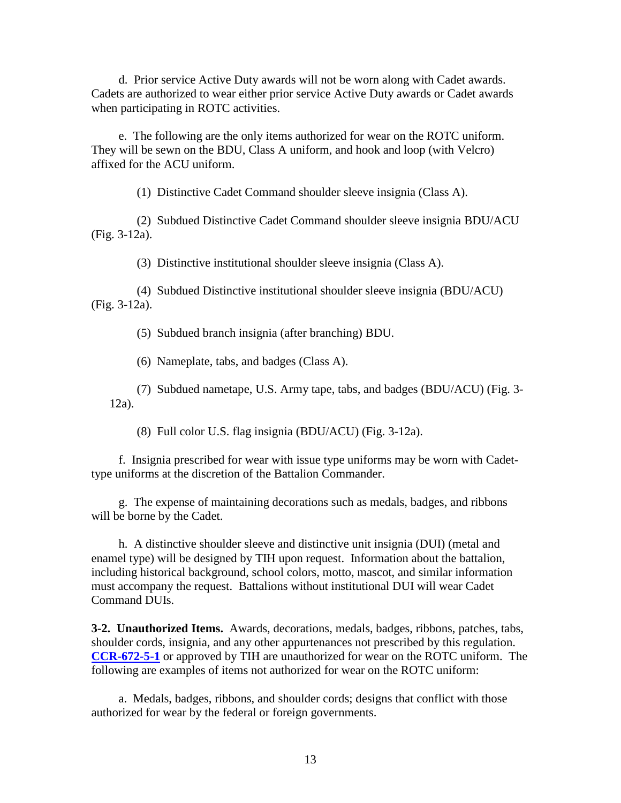d. Prior service Active Duty awards will not be worn along with Cadet awards. Cadets are authorized to wear either prior service Active Duty awards or Cadet awards when participating in ROTC activities.

e. The following are the only items authorized for wear on the ROTC uniform. They will be sewn on the BDU, Class A uniform, and hook and loop (with Velcro) affixed for the ACU uniform.

(1) Distinctive Cadet Command shoulder sleeve insignia (Class A).

(2) Subdued Distinctive Cadet Command shoulder sleeve insignia BDU/ACU (Fig. 3-12a).

(3) Distinctive institutional shoulder sleeve insignia (Class A).

(4) Subdued Distinctive institutional shoulder sleeve insignia (BDU/ACU) (Fig. 3-12a).

(5) Subdued branch insignia (after branching) BDU.

(6) Nameplate, tabs, and badges (Class A).

(7) Subdued nametape, U.S. Army tape, tabs, and badges (BDU/ACU) (Fig. 3- 12a).

(8) Full color U.S. flag insignia (BDU/ACU) (Fig. 3-12a).

f. Insignia prescribed for wear with issue type uniforms may be worn with Cadettype uniforms at the discretion of the Battalion Commander.

g. The expense of maintaining decorations such as medals, badges, and ribbons will be borne by the Cadet.

h. A distinctive shoulder sleeve and distinctive unit insignia (DUI) (metal and enamel type) will be designed by TIH upon request. Information about the battalion, including historical background, school colors, motto, mascot, and similar information must accompany the request. Battalions without institutional DUI will wear Cadet Command DUIs.

**3-2. [Unauthorized](#page-1-1) Items.** Awards, decorations, medals, badges, ribbons, patches, tabs, shoulder cords, insignia, and any other appurtenances not prescribed by this regulation. **[CCR-672-5-1](http://www.rightsite.usaac.army.mil/robo/projects/cc%20help/CCR_672_5_1.htm)** or approved by TIH are unauthorized for wear on the ROTC uniform. The following are examples of items not authorized for wear on the ROTC uniform:

a. Medals, badges, ribbons, and shoulder cords; designs that conflict with those authorized for wear by the federal or foreign governments.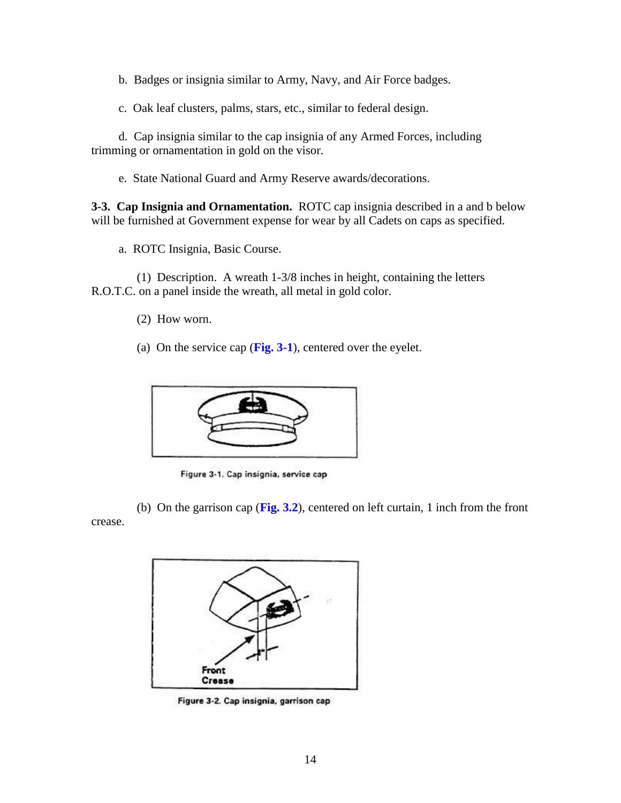b. Badges or insignia similar to Army, Navy, and Air Force badges.

c. Oak leaf clusters, palms, stars, etc., similar to federal design.

d. Cap insignia similar to the cap insignia of any Armed Forces, including trimming or ornamentation in gold on the visor.

e. State National Guard and Army Reserve awards/decorations.

**3-3. Cap Insignia and Ornamentation.** ROTC cap insignia described in a and b below will be furnished at Government expense for wear by all Cadets on caps as specified.

a. ROTC Insignia, Basic Course.

(1) Description. A wreath 1-3/8 inches in height, containing the letters R.O.T.C. on a panel inside the wreath, all metal in gold color.

- (2) How worn.
- (a) On the service cap (**Fig. 3-1**), centered over the eyelet.



Figure 3-1. Cap insignia, service cap

(b) On the garrison cap (**Fig. 3.2**), centered on left curtain, 1 inch from the front crease.



Figure 3-2. Cap insignia, garrison cap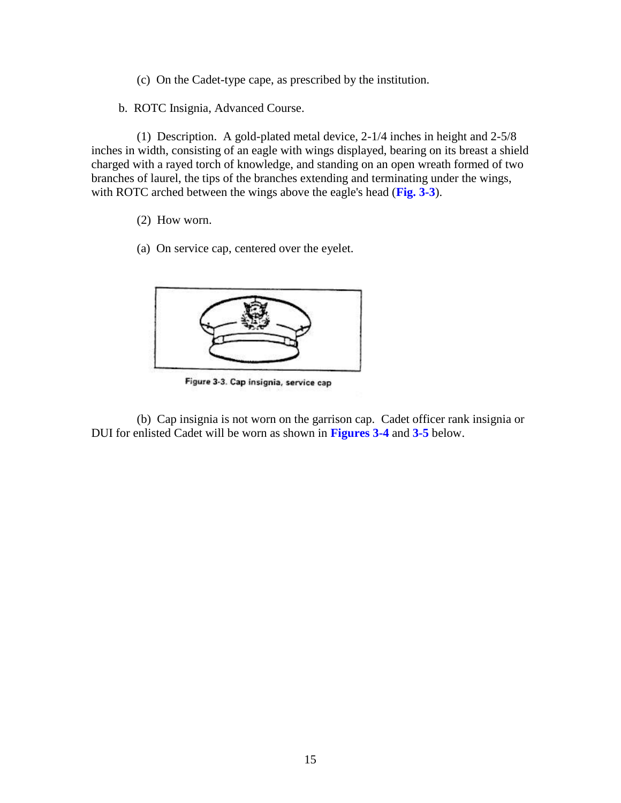- (c) On the Cadet-type cape, as prescribed by the institution.
- b. ROTC Insignia, Advanced Course.

(1) Description. A gold-plated metal device, 2-1/4 inches in height and 2-5/8 inches in width, consisting of an eagle with wings displayed, bearing on its breast a shield charged with a rayed torch of knowledge, and standing on an open wreath formed of two branches of laurel, the tips of the branches extending and terminating under the wings, with ROTC arched between the wings above the eagle's head (**Fig. 3-3**).

- (2) How worn.
- (a) On service cap, centered over the eyelet.



Figure 3-3. Cap insignia, service cap

(b) Cap insignia is not worn on the garrison cap. Cadet officer rank insignia or DUI for enlisted Cadet will be worn as shown in **Figures 3-4** and **3-5** below.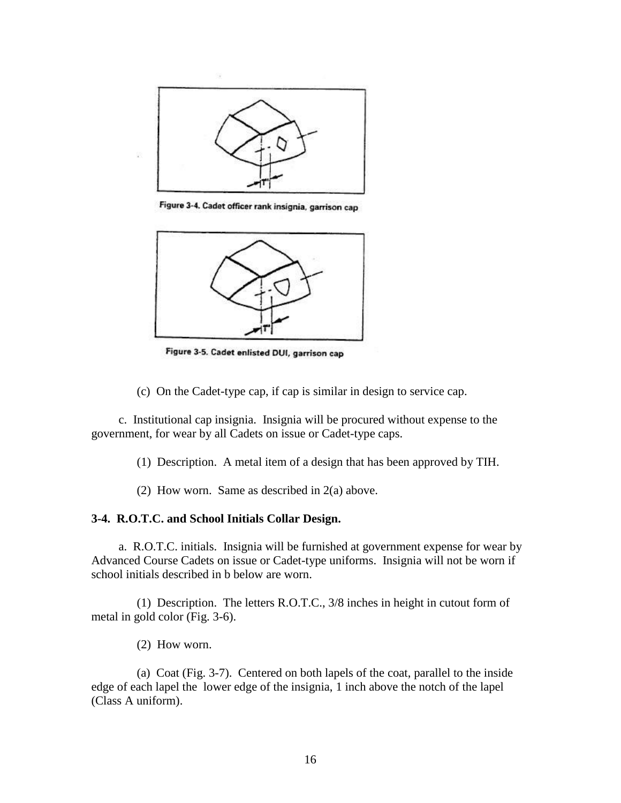

Figure 3-4. Cadet officer rank insignia, garrison cap



Figure 3-5. Cadet enlisted DUI, garrison cap

(c) On the Cadet-type cap, if cap is similar in design to service cap.

c. Institutional cap insignia. Insignia will be procured without expense to the government, for wear by all Cadets on issue or Cadet-type caps.

(1) Description. A metal item of a design that has been approved by TIH.

(2) How worn. Same as described in 2(a) above.

### **3-4. R.O.T.C. and School Initials Collar Design.**

a. R.O.T.C. initials. Insignia will be furnished at government expense for wear by Advanced Course Cadets on issue or Cadet-type uniforms. Insignia will not be worn if school initials described in b below are worn.

(1) Description. The letters R.O.T.C., 3/8 inches in height in cutout form of metal in gold color (Fig. 3-6).

(2) How worn.

(a) Coat (Fig. 3-7). Centered on both lapels of the coat, parallel to the inside edge of each lapel the lower edge of the insignia, 1 inch above the notch of the lapel (Class A uniform).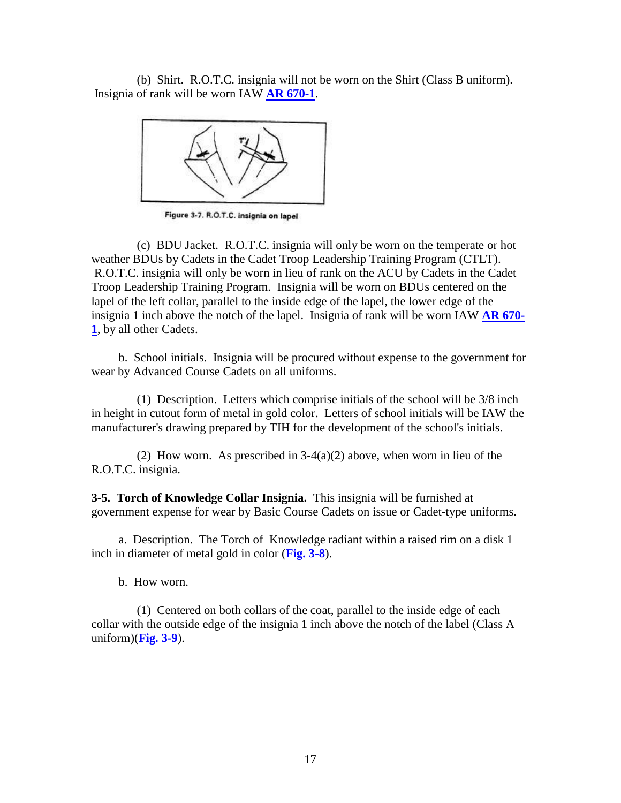(b) Shirt. R.O.T.C. insignia will not be worn on the Shirt (Class B uniform). Insignia of rank will be worn IAW **[AR 670-1](http://www.usapa.army.mil/pdffiles/r670_1.pdf)**.



Figure 3-7. R.O.T.C. insignia on lapel

(c) BDU Jacket. R.O.T.C. insignia will only be worn on the temperate or hot weather BDUs by Cadets in the Cadet Troop Leadership Training Program (CTLT). R.O.T.C. insignia will only be worn in lieu of rank on the ACU by Cadets in the Cadet Troop Leadership Training Program. Insignia will be worn on BDUs centered on the lapel of the left collar, parallel to the inside edge of the lapel, the lower edge of the insignia 1 inch above the notch of the lapel. Insignia of rank will be worn IAW **[AR 670-](http://www.usapa.army.mil/pdffiles/r670_1.pdf) [1](http://www.usapa.army.mil/pdffiles/r670_1.pdf)**, by all other Cadets.

b. School initials. Insignia will be procured without expense to the government for wear by Advanced Course Cadets on all uniforms.

(1) Description. Letters which comprise initials of the school will be 3/8 inch in height in cutout form of metal in gold color. Letters of school initials will be IAW the manufacturer's drawing prepared by TIH for the development of the school's initials.

(2) How worn. As prescribed in  $3-4(a)(2)$  above, when worn in lieu of the R.O.T.C. insignia.

**3-5. Torch of Knowledge Collar Insignia.** This insignia will be furnished at government expense for wear by Basic Course Cadets on issue or Cadet-type uniforms.

a. Description. The Torch of Knowledge radiant within a raised rim on a disk 1 inch in diameter of metal gold in color (**Fig. 3-8**).

b. How worn.

(1) Centered on both collars of the coat, parallel to the inside edge of each collar with the outside edge of the insignia 1 inch above the notch of the label (Class A uniform)(**Fig. 3-9**).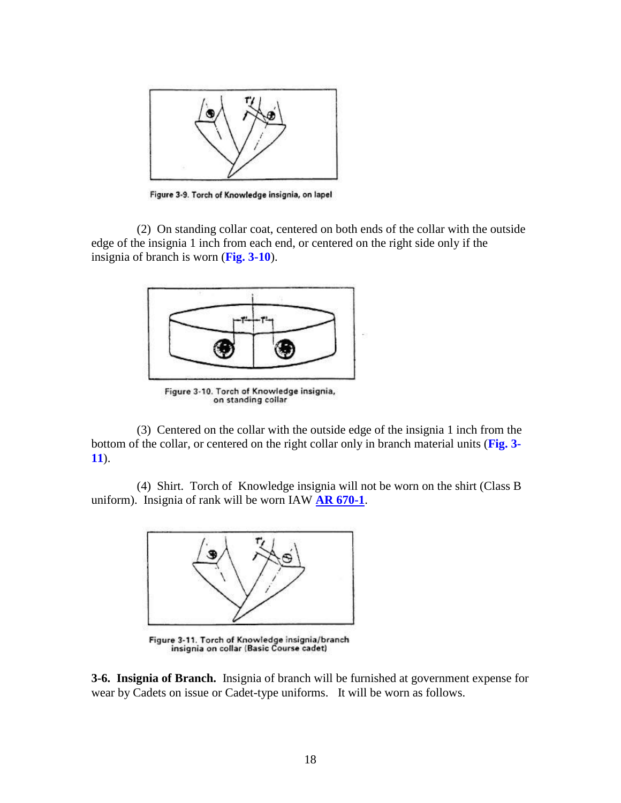

Figure 3-9. Torch of Knowledge insignia, on lapel

(2) On standing collar coat, centered on both ends of the collar with the outside edge of the insignia 1 inch from each end, or centered on the right side only if the insignia of branch is worn (**Fig. 3-10**).



Figure 3-10. Torch of Knowledge insignia, on standing collar

(3) Centered on the collar with the outside edge of the insignia 1 inch from the bottom of the collar, or centered on the right collar only in branch material units (**Fig. 3- 11**).

(4) Shirt. Torch of Knowledge insignia will not be worn on the shirt (Class B uniform). Insignia of rank will be worn IAW **[AR 670-1](http://www.usapa.army.mil/pdffiles/r670_1.pdf)**.



Figure 3-11. Torch of Knowledge insignia/branch<br>insignia on collar (Basic Course cadet)

**3-6. Insignia of Branch.** Insignia of branch will be furnished at government expense for wear by Cadets on issue or Cadet-type uniforms. It will be worn as follows.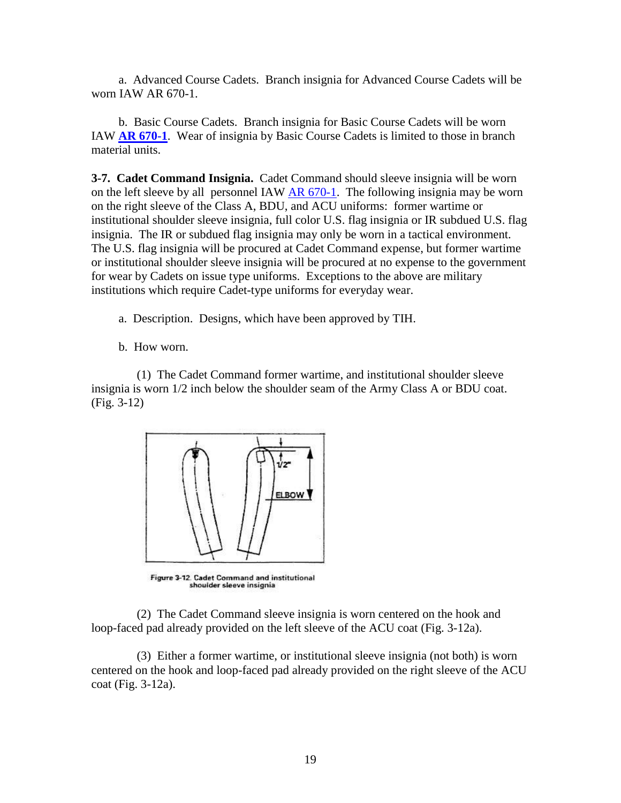a. Advanced Course Cadets. Branch insignia for Advanced Course Cadets will be worn IAW [AR 670-1.](http://www.usapa.army.mil/pdffiles/r670_1.pdf)

b. Basic Course Cadets. Branch insignia for Basic Course Cadets will be worn IAW **[AR 670-1](http://www.usapa.army.mil/pdffiles/r670_1.pdf)**. Wear of insignia by Basic Course Cadets is limited to those in branch material units.

**3-7. Cadet Command Insignia.** Cadet Command should sleeve insignia will be worn on the left sleeve by all personnel IAW [AR 670-1.](http://www.usapa.army.mil/pdffiles/r670_1.pdf) The following insignia may be worn on the right sleeve of the Class A, BDU, and ACU uniforms: former wartime or institutional shoulder sleeve insignia, full color U.S. flag insignia or IR subdued U.S. flag insignia. The IR or subdued flag insignia may only be worn in a tactical environment. The U.S. flag insignia will be procured at Cadet Command expense, but former wartime or institutional shoulder sleeve insignia will be procured at no expense to the government for wear by Cadets on issue type uniforms. Exceptions to the above are military institutions which require Cadet-type uniforms for everyday wear.

- a. Description. Designs, which have been approved by TIH.
- b. How worn.

(1) The Cadet Command former wartime, and institutional shoulder sleeve insignia is worn 1/2 inch below the shoulder seam of the Army Class A or BDU coat. (Fig. 3-12)



Figure 3-12. Cadet Command and institutional shoulder sleeve insignia

(2) The Cadet Command sleeve insignia is worn centered on the hook and loop-faced pad already provided on the left sleeve of the ACU coat (Fig. 3-12a).

(3) Either a former wartime, or institutional sleeve insignia (not both) is worn centered on the hook and loop-faced pad already provided on the right sleeve of the ACU coat (Fig. 3-12a).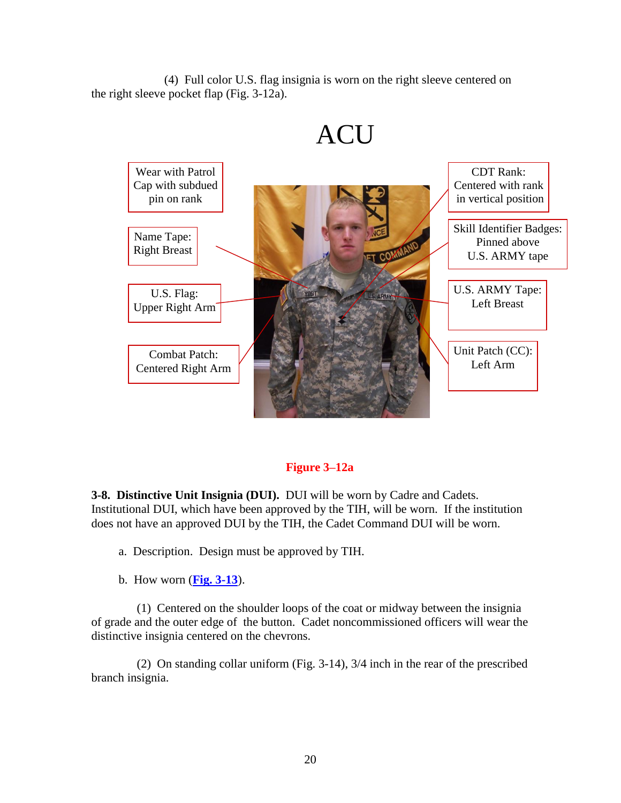(4) Full color U.S. flag insignia is worn on the right sleeve centered on the right sleeve pocket flap (Fig. 3-12a).



### **Figure 3–12a**

**3-8. Distinctive Unit Insignia (DUI).** DUI will be worn by Cadre and Cadets. Institutional DUI, which have been approved by the TIH, will be worn. If the institution does not have an approved DUI by the TIH, the Cadet Command DUI will be worn.

a. Description. Design must be approved by TIH.

b. How worn (**[Fig. 3-13](http://www.rightsite.usaac.army.mil/robo/projects/cc%20help/CCR_670_1.htm#BM_FIG_3_13#BM_FIG_3_13)**).

(1) Centered on the shoulder loops of the coat or midway between the insignia of grade and the outer edge of the button. Cadet noncommissioned officers will wear the distinctive insignia centered on the chevrons.

(2) On standing collar uniform [\(Fig. 3-14\)](http://www.rightsite.usaac.army.mil/robo/projects/cc%20help/CCR_670_1.htm#BM_FIG_3_14#BM_FIG_3_14), 3/4 inch in the rear of the prescribed branch insignia.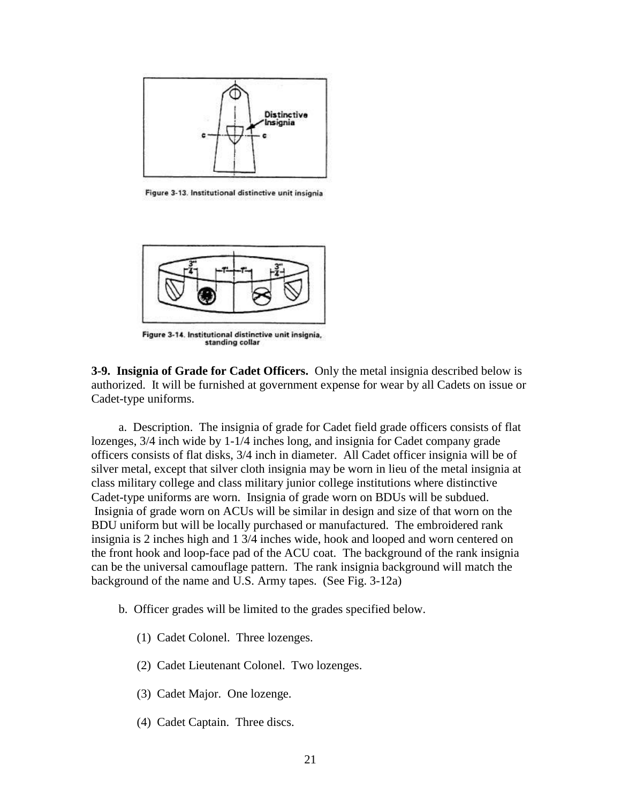

Figure 3-13. Institutional distinctive unit insignia



Figure 3-14. Institutional distinctive unit insignia, standing collar

**3-9. Insignia of Grade for Cadet Officers.** Only the metal insignia described below is authorized. It will be furnished at government expense for wear by all Cadets on issue or Cadet-type uniforms.

a. Description. The insignia of grade for Cadet field grade officers consists of flat lozenges, 3/4 inch wide by 1-1/4 inches long, and insignia for Cadet company grade officers consists of flat disks, 3/4 inch in diameter. All Cadet officer insignia will be of silver metal, except that silver cloth insignia may be worn in lieu of the metal insignia at class military college and class military junior college institutions where distinctive Cadet-type uniforms are worn. Insignia of grade worn on BDUs will be subdued. Insignia of grade worn on ACUs will be similar in design and size of that worn on the BDU uniform but will be locally purchased or manufactured. The embroidered rank insignia is 2 inches high and 1 3/4 inches wide, hook and looped and worn centered on the front hook and loop-face pad of the ACU coat. The background of the rank insignia can be the universal camouflage pattern. The rank insignia background will match the background of the name and U.S. Army tapes. (See Fig. 3-12a)

- b. Officer grades will be limited to the grades specified below.
	- (1) Cadet Colonel. Three lozenges.
	- (2) Cadet Lieutenant Colonel. Two lozenges.
	- (3) Cadet Major. One lozenge.
	- (4) Cadet Captain. Three discs.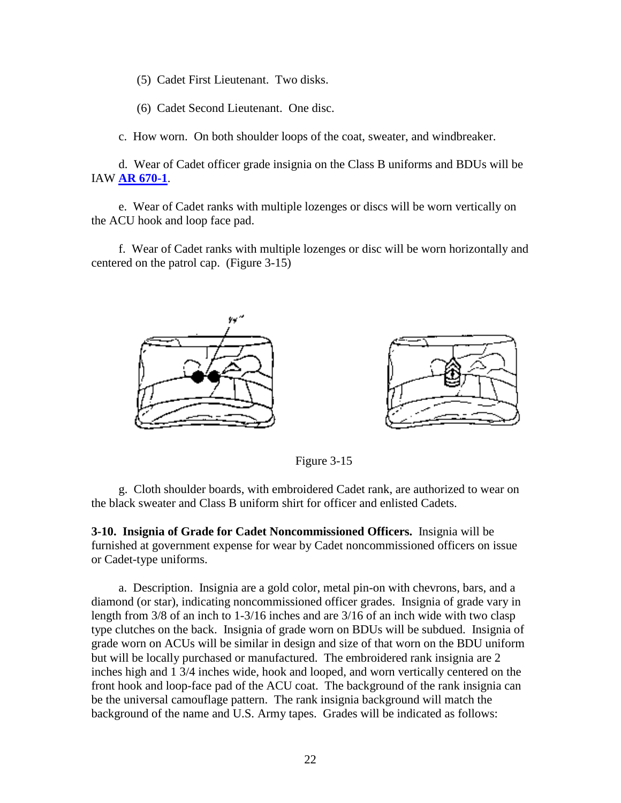(5) Cadet First Lieutenant. Two disks.

(6) Cadet Second Lieutenant. One disc.

c. How worn. On both shoulder loops of the coat, sweater, and windbreaker.

d. Wear of Cadet officer grade insignia on the Class B uniforms and BDUs will be IAW **[AR 670-1](http://www.usapa.army.mil/pdffiles/r670_1.pdf)**.

e. Wear of Cadet ranks with multiple lozenges or discs will be worn vertically on the ACU hook and loop face pad.

f. Wear of Cadet ranks with multiple lozenges or disc will be worn horizontally and centered on the patrol cap. (Figure 3-15)





Figure 3-15

g. Cloth shoulder boards, with embroidered Cadet rank, are authorized to wear on the black sweater and Class B uniform shirt for officer and enlisted Cadets.

**3-10. Insignia of Grade for Cadet Noncommissioned Officers.** Insignia will be furnished at government expense for wear by Cadet noncommissioned officers on issue or Cadet-type uniforms.

a. Description. Insignia are a gold color, metal pin-on with chevrons, bars, and a diamond (or star), indicating noncommissioned officer grades. Insignia of grade vary in length from 3/8 of an inch to 1-3/16 inches and are 3/16 of an inch wide with two clasp type clutches on the back. Insignia of grade worn on BDUs will be subdued. Insignia of grade worn on ACUs will be similar in design and size of that worn on the BDU uniform but will be locally purchased or manufactured. The embroidered rank insignia are 2 inches high and 1 3/4 inches wide, hook and looped, and worn vertically centered on the front hook and loop-face pad of the ACU coat. The background of the rank insignia can be the universal camouflage pattern. The rank insignia background will match the background of the name and U.S. Army tapes. Grades will be indicated as follows: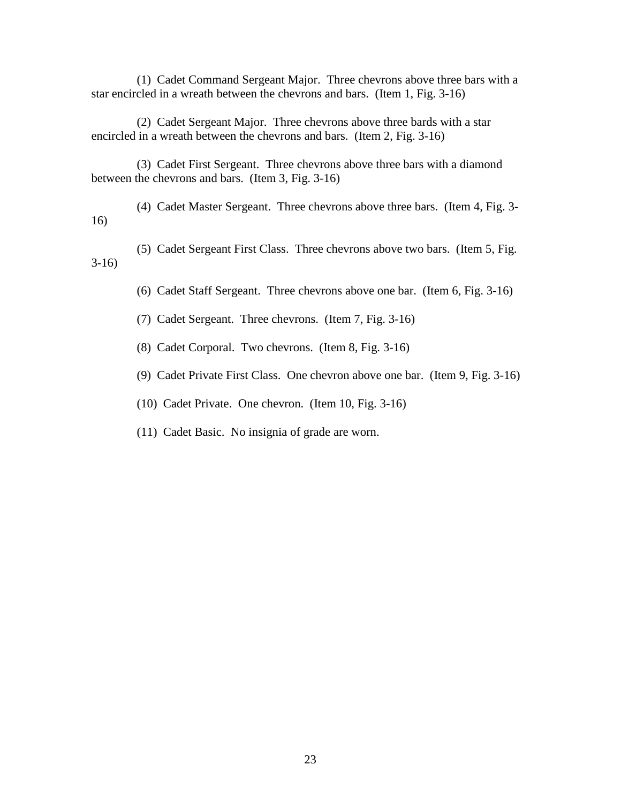(1) Cadet Command Sergeant Major. Three chevrons above three bars with a star encircled in a wreath between the chevrons and bars. (Item 1, Fig. 3-16)

(2) Cadet Sergeant Major. Three chevrons above three bards with a star encircled in a wreath between the chevrons and bars. (Item 2, Fig. 3-16)

(3) Cadet First Sergeant. Three chevrons above three bars with a diamond between the chevrons and bars. (Item 3, Fig. 3-16)

(4) Cadet Master Sergeant. Three chevrons above three bars. (Item 4, Fig. 3- 16)

(5) Cadet Sergeant First Class. Three chevrons above two bars. (Item 5, Fig. 3-16)

(6) Cadet Staff Sergeant. Three chevrons above one bar. (Item 6, Fig. 3-16)

(7) Cadet Sergeant. Three chevrons. (Item 7, Fig. 3-16)

(8) Cadet Corporal. Two chevrons. (Item 8, Fig. 3-16)

(9) Cadet Private First Class. One chevron above one bar. (Item 9, Fig. 3-16)

(10) Cadet Private. One chevron. (Item 10, Fig. 3-16)

(11) Cadet Basic. No insignia of grade are worn.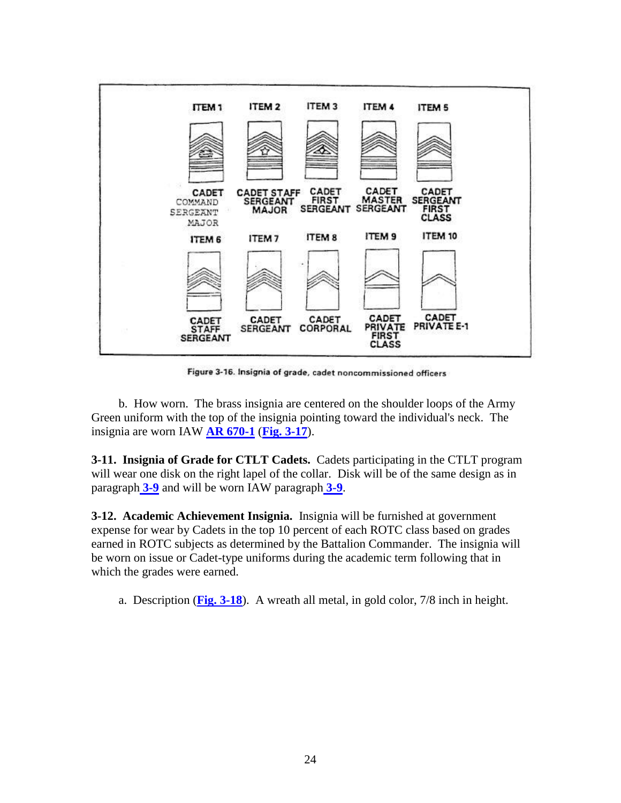

Figure 3-16. Insignia of grade, cadet noncommissioned officers

b. How worn. The brass insignia are centered on the shoulder loops of the Army Green uniform with the top of the insignia pointing toward the individual's neck. The insignia are worn IAW **[AR 670-1](http://www.usapa.army.mil/pdffiles/r670_1.pdf)** (**[Fig. 3-17](http://www.rightsite.usaac.army.mil/robo/projects/cc%20help/CCR_670_1.htm#BM_FIG_3_17#BM_FIG_3_17)**).

**3-11. Insignia of Grade for CTLT Cadets.** Cadets participating in the CTLT program will wear one disk on the right lapel of the collar. Disk will be of the same design as in paragraph **[3-9](http://www.rightsite.usaac.army.mil/robo/projects/cc%20help/CCR_670_1.htm#BM_3_9#BM_3_9)** and will be worn IAW paragraph **[3-9](http://www.rightsite.usaac.army.mil/robo/projects/cc%20help/CCR_670_1.htm#BM_3_9#BM_3_9)**.

**3-12. Academic Achievement Insignia.** Insignia will be furnished at government expense for wear by Cadets in the top 10 percent of each ROTC class based on grades earned in ROTC subjects as determined by the Battalion Commander. The insignia will be worn on issue or Cadet-type uniforms during the academic term following that in which the grades were earned.

a. Description (**Fig. [3-18](http://www.rightsite.usaac.army.mil/robo/projects/cc%20help/CCR_670_1.htm#BM_FIG_3_18#BM_FIG_3_18)**). A wreath all metal, in gold color, 7/8 inch in height.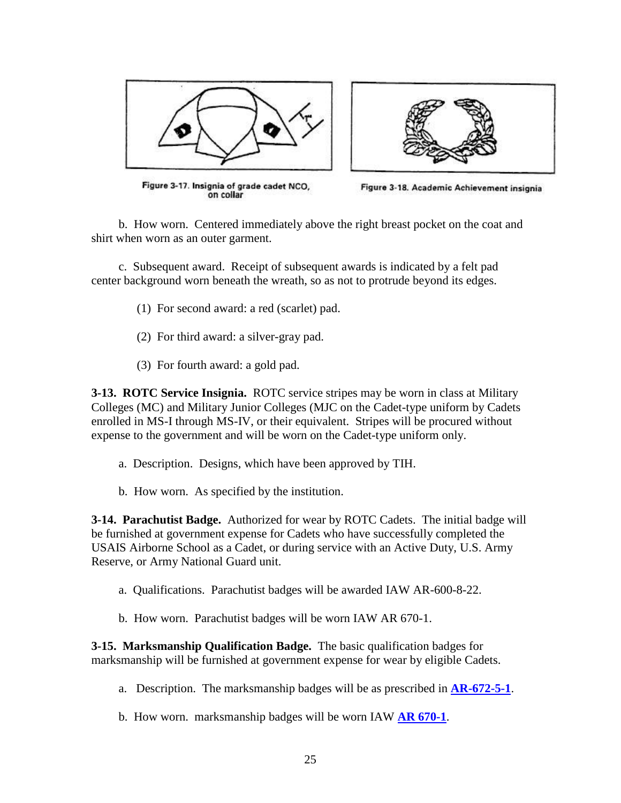



Figure 3-17. Insignia of grade cadet NCO,<br>on collar

Figure 3-18. Academic Achievement insignia

b. How worn. Centered immediately above the right breast pocket on the coat and shirt when worn as an outer garment.

c. Subsequent award. Receipt of subsequent awards is indicated by a felt pad center background worn beneath the wreath, so as not to protrude beyond its edges.

- (1) For second award: a red (scarlet) pad.
- (2) For third award: a silver-gray pad.
- (3) For fourth award: a gold pad.

**3-13. ROTC Service Insignia.** ROTC service stripes may be worn in class at Military Colleges (MC) and Military Junior Colleges (MJC on the Cadet-type uniform by Cadets enrolled in MS-I through MS-IV, or their equivalent. Stripes will be procured without expense to the government and will be worn on the Cadet-type uniform only.

- a. Description. Designs, which have been approved by TIH.
- b. How worn. As specified by the institution.

**3-14. Parachutist Badge.** Authorized for wear by ROTC Cadets. The initial badge will be furnished at government expense for Cadets who have successfully completed the USAIS Airborne School as a Cadet, or during service with an Active Duty, U.S. Army Reserve, or Army National Guard unit.

- a. Qualifications. Parachutist badges will be awarded IAW AR-600-8-22.
- b.How worn. Parachutist badges will be worn IAW AR 670-1.

**3-15. Marksmanship Qualification Badge.** The basic qualification badges for marksmanship will be furnished at government expense for wear by eligible Cadets.

- a. Description. The marksmanship badges will be as prescribed in **[AR-672-5-1](http://www.rightsite.usaac.army.mil/robo/projects/cc%20help/CCR_672_5_1.htm)**.
- b. How worn. marksmanship badges will be worn IAW **[AR 670-1](http://www.usapa.army.mil/pdffiles/r670_1.pdf)**.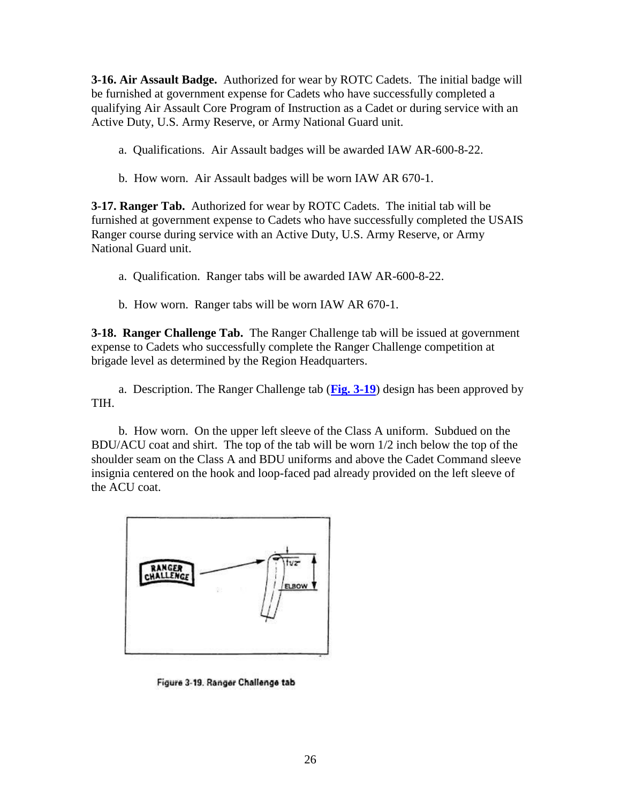**3-16. Air Assault Badge.** Authorized for wear by ROTC Cadets. The initial badge will be furnished at government expense for Cadets who have successfully completed a qualifying Air Assault Core Program of Instruction as a Cadet or during service with an Active Duty, U.S. Army Reserve, or Army National Guard unit.

a. Qualifications. Air Assault badges will be awarded IAW AR-600-8-22.

b. How worn. Air Assault badges will be worn IAW AR 670-1.

**3-17. Ranger Tab.** Authorized for wear by ROTC Cadets. The initial tab will be furnished at government expense to Cadets who have successfully completed the USAIS Ranger course during service with an Active Duty, U.S. Army Reserve, or Army National Guard unit.

a. Qualification. Ranger tabs will be awarded IAW AR-600-8-22.

b. How worn. Ranger tabs will be worn IAW AR 670-1.

**3-18. Ranger Challenge Tab.** The Ranger Challenge tab will be issued at government expense to Cadets who successfully complete the Ranger Challenge competition at brigade level as determined by the Region Headquarters.

a. Description. The Ranger Challenge tab (**Fig. [3-19](http://www.rightsite.usaac.army.mil/robo/projects/cc%20help/CCR_670_1.htm#BM_FIG_3_19#BM_FIG_3_19)**) design has been approved by TIH.

b. How worn. On the upper left sleeve of the Class A uniform. Subdued on the BDU/ACU coat and shirt. The top of the tab will be worn 1/2 inch below the top of the shoulder seam on the Class A and BDU uniforms and above the Cadet Command sleeve insignia centered on the hook and loop-faced pad already provided on the left sleeve of the ACU coat.



Figure 3-19. Ranger Challenge tab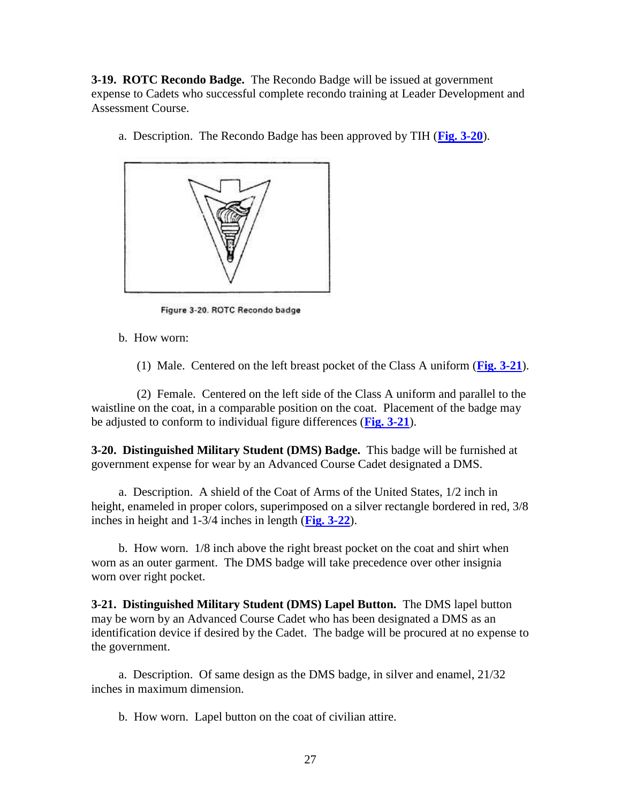**3-19. ROTC Recondo Badge.** The Recondo Badge will be issued at government expense to Cadets who successful complete recondo training at Leader Development and Assessment Course.

a. Description. The Recondo Badge has been approved by TIH (**[Fig. 3-20](http://www.rightsite.usaac.army.mil/robo/projects/cc%20help/CCR_670_1.htm#BM_FIG_3_20#BM_FIG_3_20)**).



Figure 3-20. ROTC Recondo badge

b. How worn:

(1) Male. Centered on the left breast pocket of the Class A uniform (**[Fig. 3-21](http://www.rightsite.usaac.army.mil/robo/projects/cc%20help/CCR_670_1.htm#BM_FIG_3_21#BM_FIG_3_21)**).

(2) Female. Centered on the left side of the Class A uniform and parallel to the waistline on the coat, in a comparable position on the coat. Placement of the badge may be adjusted to conform to individual figure differences (**Fig. [3-21](http://www.rightsite.usaac.army.mil/robo/projects/cc%20help/CCR_670_1.htm#BM_FIG_3_21#BM_FIG_3_21)**).

**3-20. Distinguished Military Student (DMS) Badge.** This badge will be furnished at government expense for wear by an Advanced Course Cadet designated a DMS.

a. Description. A shield of the Coat of Arms of the United States, 1/2 inch in height, enameled in proper colors, superimposed on a silver rectangle bordered in red, 3/8 inches in height and 1-3/4 inches in length (**[Fig. 3-22](http://www.rightsite.usaac.army.mil/robo/projects/cc%20help/CCR_670_1.htm#BM_FIG_3_22#BM_FIG_3_22)**).

b. How worn. 1/8 inch above the right breast pocket on the coat and shirt when worn as an outer garment. The DMS badge will take precedence over other insignia worn over right pocket.

**3-21. Distinguished Military Student (DMS) Lapel Button.** The DMS lapel button may be worn by an Advanced Course Cadet who has been designated a DMS as an identification device if desired by the Cadet. The badge will be procured at no expense to the government.

a. Description. Of same design as the DMS badge, in silver and enamel, 21/32 inches in maximum dimension.

b. How worn. Lapel button on the coat of civilian attire.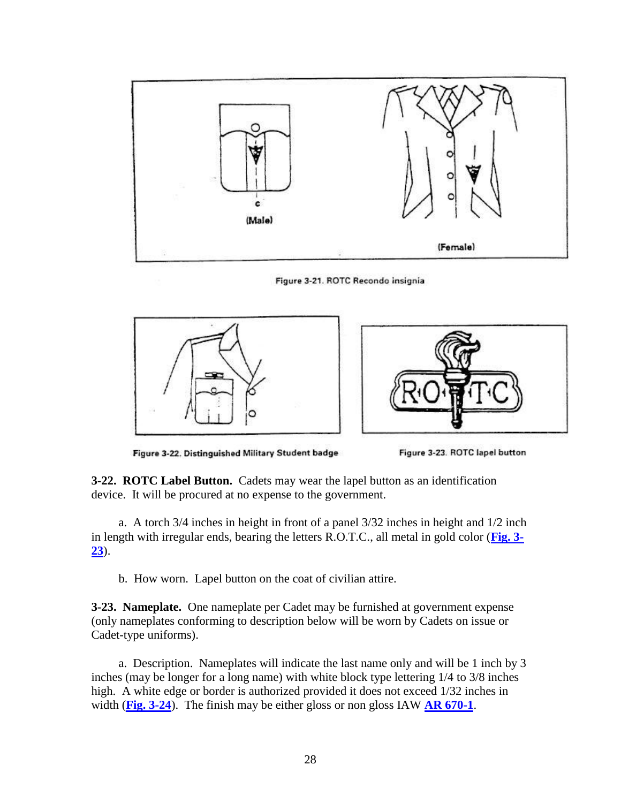

Figure 3-21. ROTC Recondo insignia





Figure 3-22. Distinguished Military Student badge



**3-22. ROTC Label Button.** Cadets may wear the lapel button as an identification device. It will be procured at no expense to the government.

a. A torch 3/4 inches in height in front of a panel 3/32 inches in height and 1/2 inch in length with irregular ends, bearing the letters R.O.T.C., all metal in gold color (**[Fig. 3-](http://www.rightsite.usaac.army.mil/robo/projects/cc%20help/CCR_670_1.htm#BM_FIG_3_23#BM_FIG_3_23) [23](http://www.rightsite.usaac.army.mil/robo/projects/cc%20help/CCR_670_1.htm#BM_FIG_3_23#BM_FIG_3_23)**).

b. How worn. Lapel button on the coat of civilian attire.

**3-23. Nameplate.** One nameplate per Cadet may be furnished at government expense (only nameplates conforming to description below will be worn by Cadets on issue or Cadet-type uniforms).

a. Description. Nameplates will indicate the last name only and will be 1 inch by 3 inches (may be longer for a long name) with white block type lettering 1/4 to 3/8 inches high. A white edge or border is authorized provided it does not exceed 1/32 inches in width (**[Fig. 3-24](http://www.rightsite.usaac.army.mil/robo/projects/cc%20help/CCR_670_1.htm#BM_FIG_3_24#BM_FIG_3_24)**). The finish may be either gloss or non gloss IAW **[AR 670-1](http://www.usapa.army.mil/pdffiles/r670_1.pdf)**.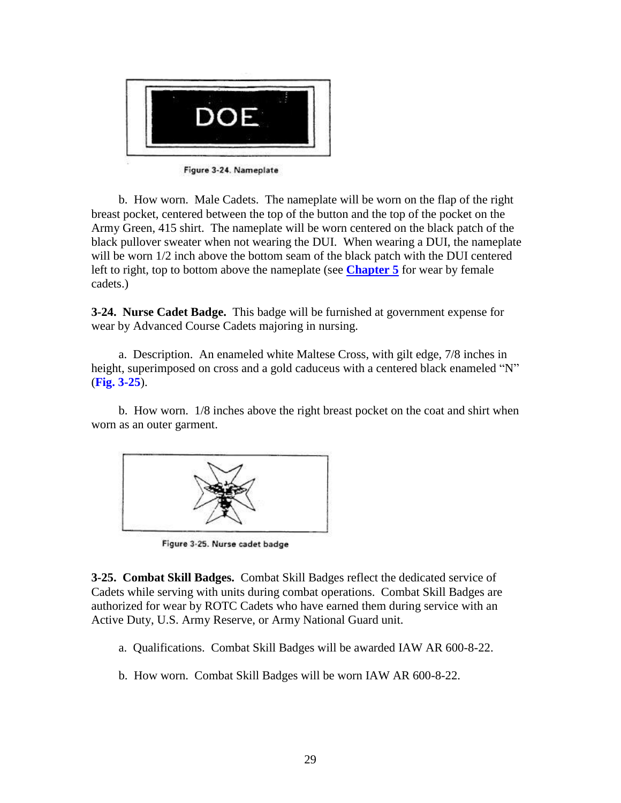

Figure 3-24. Nameplate

b. How worn. Male Cadets. The nameplate will be worn on the flap of the right breast pocket, centered between the top of the button and the top of the pocket on the Army Green, 415 shirt. The nameplate will be worn centered on the black patch of the black pullover sweater when not wearing the DUI. When wearing a DUI, the nameplate will be worn 1/2 inch above the bottom seam of the black patch with the DUI centered left to right, top to bottom above the nameplate (see **[Chapter 5](http://www.rightsite.usaac.army.mil/robo/projects/cc%20help/CCR_670_1.htm#BM_5_1#BM_5_1)** for wear by female cadets.)

**3-24. Nurse Cadet Badge.** This badge will be furnished at government expense for wear by Advanced Course Cadets majoring in nursing.

a. Description. An enameled white Maltese Cross, with gilt edge, 7/8 inches in height, superimposed on cross and a gold caduceus with a centered black enameled "N" (**Fig. 3-25**).

b. How worn. 1/8 inches above the right breast pocket on the coat and shirt when worn as an outer garment.



Figure 3-25. Nurse cadet badge

**3-25. Combat Skill Badges.** Combat Skill Badges reflect the dedicated service of Cadets while serving with units during combat operations. Combat Skill Badges are authorized for wear by ROTC Cadets who have earned them during service with an Active Duty, U.S. Army Reserve, or Army National Guard unit.

- a. Qualifications. Combat Skill Badges will be awarded IAW AR 600-8-22.
- b. How worn. Combat Skill Badges will be worn IAW AR 600-8-22.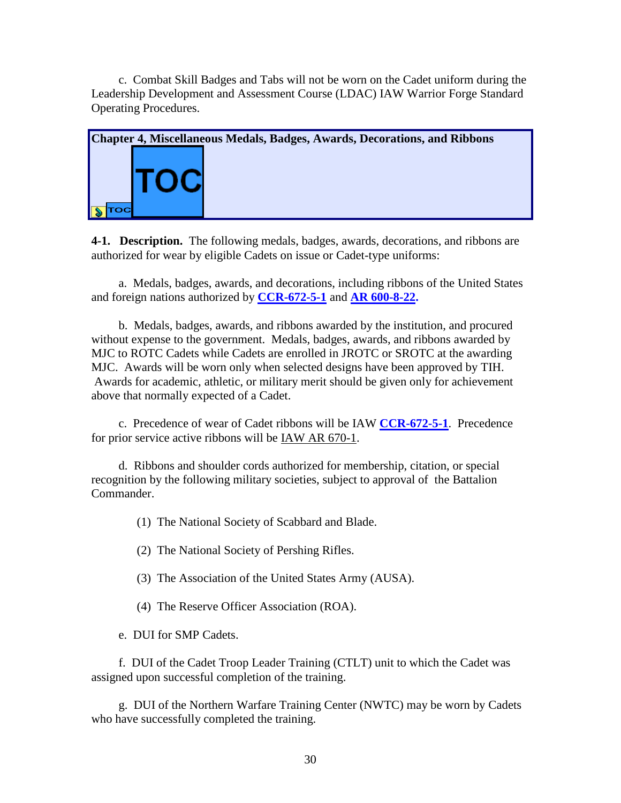c. Combat Skill Badges and Tabs will not be worn on the Cadet uniform during the Leadership Development and Assessment Course (LDAC) IAW Warrior Forge Standard Operating Procedures.



<span id="page-29-0"></span>**4-1. [Description.](#page-2-2)** The following medals, badges, awards, decorations, and ribbons are authorized for wear by eligible Cadets on issue or Cadet-type uniforms:

a. Medals, badges, awards, and decorations, including ribbons of the United States and foreign nations authorized by **[CCR-672-5-1](http://www.rightsite.usaac.army.mil/robo/projects/cc%20help/CCR_672_5_1.htm)** and **AR 600-8-22.**

b. Medals, badges, awards, and ribbons awarded by the institution, and procured without expense to the government. Medals, badges, awards, and ribbons awarded by MJC to ROTC Cadets while Cadets are enrolled in JROTC or SROTC at the awarding MJC. Awards will be worn only when selected designs have been approved by TIH. Awards for academic, athletic, or military merit should be given only for achievement above that normally expected of a Cadet.

c. Precedence of wear of Cadet ribbons will be IAW **[CCR-672-5-1](http://www.rightsite.usaac.army.mil/robo/projects/cc%20help/CCR_672_5_1.htm)**. Precedence for prior service active ribbons will be IAW AR 670-1.

d. Ribbons and shoulder cords authorized for membership, citation, or special recognition by the following military societies, subject to approval of the Battalion Commander.

(1) The National Society of Scabbard and Blade.

(2) The National Society of Pershing Rifles.

- (3) The Association of the United States Army (AUSA).
- (4) The Reserve Officer Association (ROA).

e. DUI for SMP Cadets.

f. DUI of the Cadet Troop Leader Training (CTLT) unit to which the Cadet was assigned upon successful completion of the training.

g. DUI of the Northern Warfare Training Center (NWTC) may be worn by Cadets who have successfully completed the training.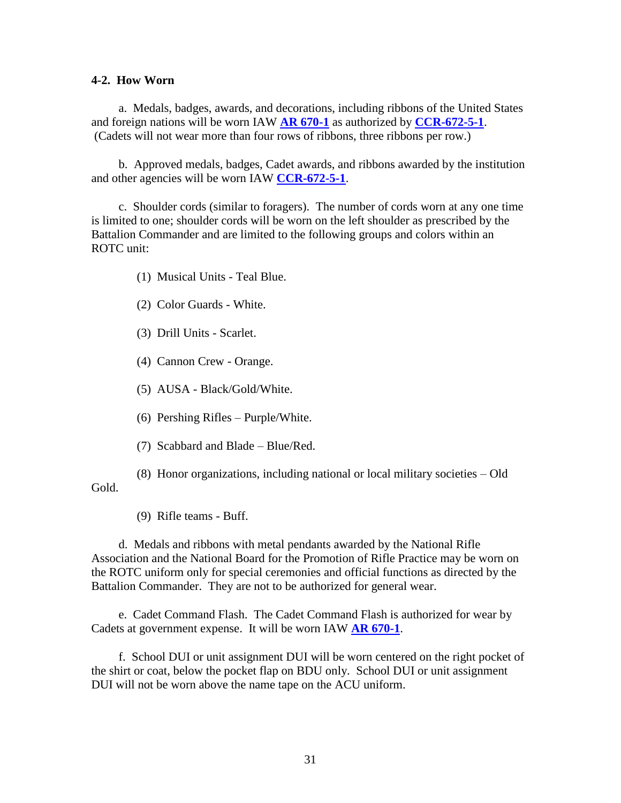#### **4-2. How Worn**

a. Medals, badges, awards, and decorations, including ribbons of the United States and foreign nations will be worn IAW **[AR 670-1](http://www.usapa.army.mil/pdffiles/r670_1.pdf)** as authorized by **[CCR-672-5-1](http://www.rightsite.usaac.army.mil/robo/projects/cc%20help/CCR_672_5_1.htm)**. (Cadets will not wear more than four rows of ribbons, three ribbons per row.)

b. Approved medals, badges, Cadet awards, and ribbons awarded by the institution and other agencies will be worn IAW **[CCR-672-5-1](http://www.rightsite.usaac.army.mil/robo/projects/cc%20help/CCR_672_5_1.htm)**.

c. Shoulder cords (similar to foragers). The number of cords worn at any one time is limited to one; shoulder cords will be worn on the left shoulder as prescribed by the Battalion Commander and are limited to the following groups and colors within an ROTC unit:

(1) Musical Units - Teal Blue.

- (2) Color Guards White.
- (3) Drill Units Scarlet.
- (4) Cannon Crew Orange.
- (5) AUSA Black/Gold/White.
- (6) Pershing Rifles Purple/White.
- (7) Scabbard and Blade Blue/Red.

(8) Honor organizations, including national or local military societies – Old Gold.

(9) Rifle teams - Buff.

d. Medals and ribbons with metal pendants awarded by the National Rifle Association and the National Board for the Promotion of Rifle Practice may be worn on the ROTC uniform only for special ceremonies and official functions as directed by the Battalion Commander. They are not to be authorized for general wear.

e. Cadet Command Flash. The Cadet Command Flash is authorized for wear by Cadets at government expense. It will be worn IAW **[AR 670-1](http://www.usapa.army.mil/pdffiles/r670_1.pdf)**.

f. School DUI or unit assignment DUI will be worn centered on the right pocket of the shirt or coat, below the pocket flap on BDU only. School DUI or unit assignment DUI will not be worn above the name tape on the ACU uniform.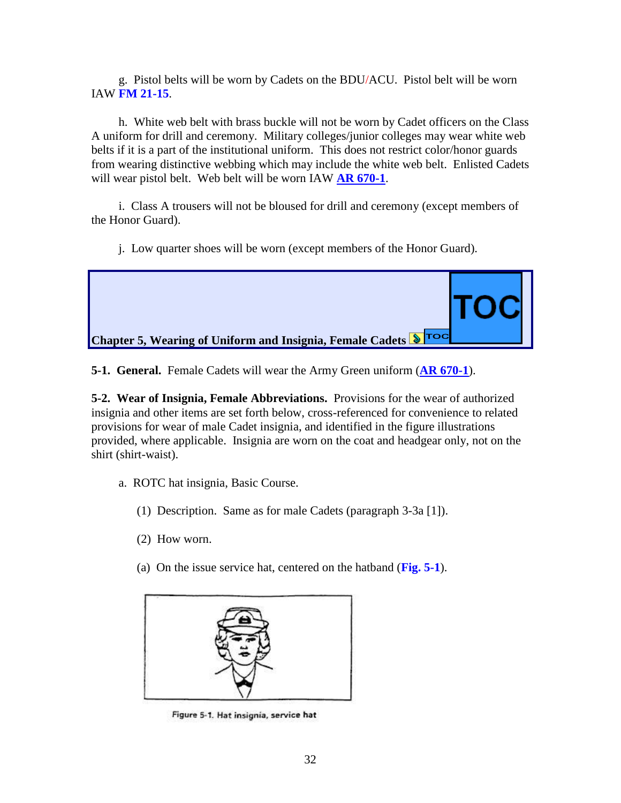g. Pistol belts will be worn by Cadets on the BDU/ACU. Pistol belt will be worn IAW **FM 21-15**.

h. White web belt with brass buckle will not be worn by Cadet officers on the Class A uniform for drill and ceremony. Military colleges/junior colleges may wear white web belts if it is a part of the institutional uniform. This does not restrict color/honor guards from wearing distinctive webbing which may include the white web belt. Enlisted Cadets will wear pistol belt. Web belt will be worn IAW **[AR 670-1](http://www.usapa.army.mil/pdffiles/r670_1.pdf)**.

i. Class A trousers will not be bloused for drill and ceremony (except members of the Honor Guard).

j. Low quarter shoes will be worn (except members of the Honor Guard).



<span id="page-31-0"></span>**5-1. General.** Female Cadets will wear the Army Green uniform (**[AR 670-1](http://www.usapa.army.mil/pdffiles/r670_1.pdf)**).

**5-2. Wear of Insignia, Female [Abbreviations.](#page-2-3)** Provisions for the wear of authorized insignia and other items are set forth below, cross-referenced for convenience to related provisions for wear of male Cadet insignia, and identified in the figure illustrations provided, where applicable. Insignia are worn on the coat and headgear only, not on the shirt (shirt-waist).

- a. ROTC hat insignia, Basic Course.
	- (1) Description. Same as for male Cadets (paragraph 3-3a [1]).
	- (2) How worn.
	- (a) On the issue service hat, centered on the hatband (**Fig. 5-1**).



Figure 5-1. Hat insignia, service hat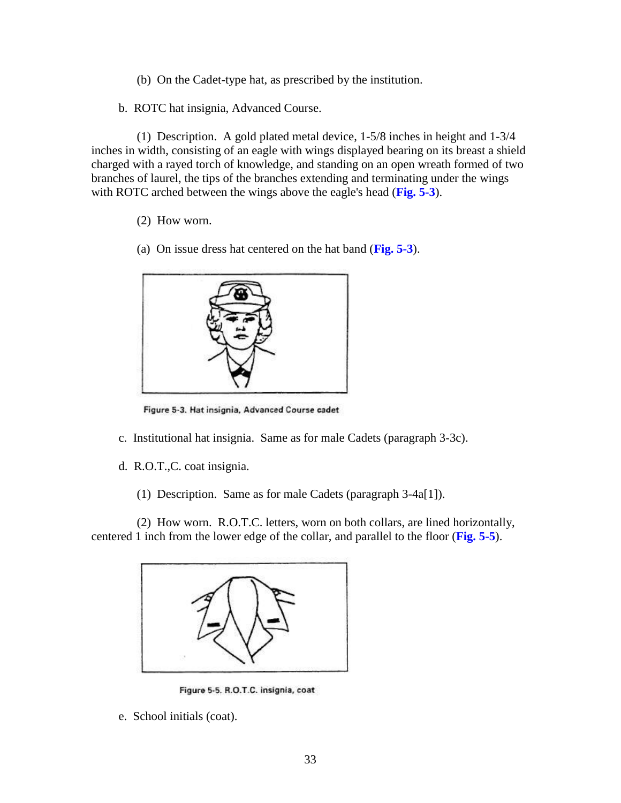- (b) On the Cadet-type hat, as prescribed by the institution.
- b. ROTC hat insignia, Advanced Course.

(1) Description. A gold plated metal device, 1-5/8 inches in height and 1-3/4 inches in width, consisting of an eagle with wings displayed bearing on its breast a shield charged with a rayed torch of knowledge, and standing on an open wreath formed of two branches of laurel, the tips of the branches extending and terminating under the wings with ROTC arched between the wings above the eagle's head (**Fig. 5-3**).

- (2) How worn.
- (a) On issue dress hat centered on the hat band (**Fig. 5-3**).



Figure 5-3. Hat insignia, Advanced Course cadet

- c. Institutional hat insignia. Same as for male Cadets (paragraph 3-3c).
- d. R.O.T.,C. coat insignia.
	- (1) Description. Same as for male Cadets (paragraph 3-4a[1]).

(2) How worn. R.O.T.C. letters, worn on both collars, are lined horizontally, centered 1 inch from the lower edge of the collar, and parallel to the floor (**Fig. 5-5**).



Figure 5-5. R.O.T.C. insignia, coat

e. School initials (coat).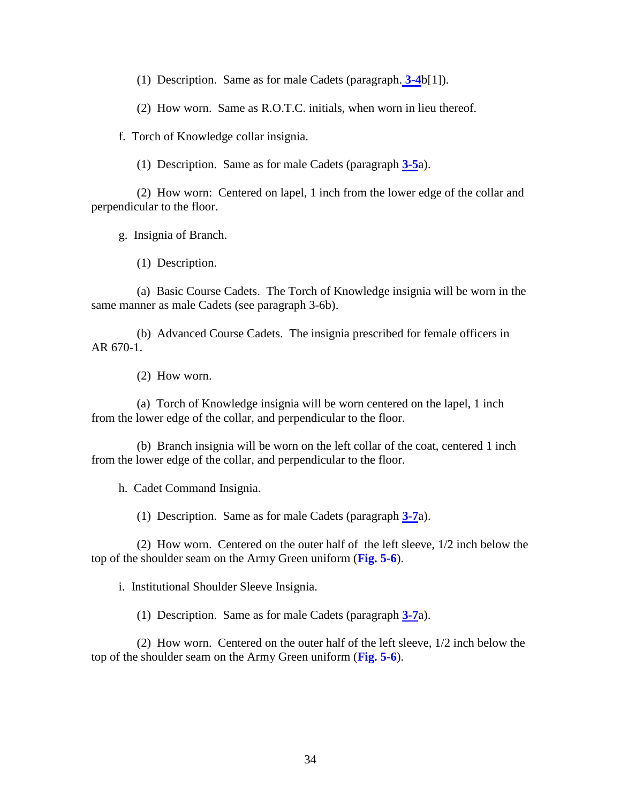(1) Description. Same as for male Cadets (paragraph. **[3-4](http://www.rightsite.usaac.army.mil/robo/projects/cc%20help/CCR_670_1.htm#BM_3_4#BM_3_4)**b[1]).

(2) How worn. Same as R.O.T.C. initials, when worn in lieu thereof.

f. Torch of Knowledge collar insignia.

(1) Description. Same as for male Cadets (paragraph **[3-5](http://www.rightsite.usaac.army.mil/robo/projects/cc%20help/CCR_670_1.htm#BM_3_5#BM_3_5)**a).

(2) How worn: Centered on lapel, 1 inch from the lower edge of the collar and perpendicular to the floor.

g. Insignia of Branch.

(1) Description.

(a) Basic Course Cadets. The Torch of Knowledge insignia will be worn in the same manner as male Cadets (see paragraph [3-6b](http://www.rightsite.usaac.army.mil/robo/projects/cc%20help/CCR_670_1.htm#BM_3_6#BM_3_6)).

(b) Advanced Course Cadets. The insignia prescribed for female officers in AR [670-1.](http://www.usapa.army.mil/pdffiles/r670_1.pdf)

(2) How worn.

(a) Torch of Knowledge insignia will be worn centered on the lapel, 1 inch from the lower edge of the collar, and perpendicular to the floor.

(b) Branch insignia will be worn on the left collar of the coat, centered 1 inch from the lower edge of the collar, and perpendicular to the floor.

h. Cadet Command Insignia.

(1) Description. Same as for male Cadets (paragraph **[3-7](http://www.rightsite.usaac.army.mil/robo/projects/cc%20help/CCR_670_1.htm#BM_3_7#BM_3_7)**a).

(2) How worn. Centered on the outer half of the left sleeve, 1/2 inch below the top of the shoulder seam on the Army Green uniform (**Fig. 5-6**).

i. Institutional Shoulder Sleeve Insignia.

(1) Description. Same as for male Cadets (paragraph **[3-7](http://www.rightsite.usaac.army.mil/robo/projects/cc%20help/CCR_670_1.htm#BM_3_7#BM_3_7)**a).

(2) How worn. Centered on the outer half of the left sleeve, 1/2 inch below the top of the shoulder seam on the Army Green uniform (**Fig. 5-6**).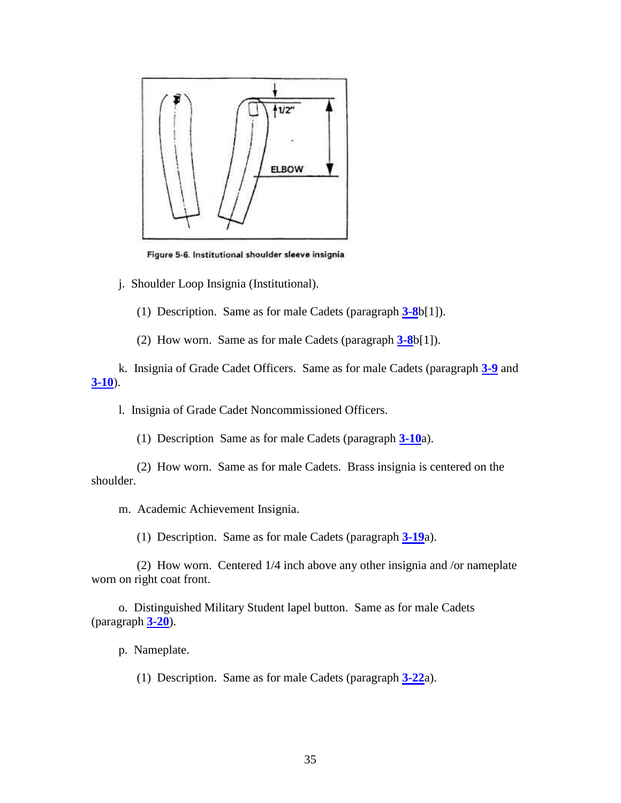

Figure 5-6. Institutional shoulder sleeve insignia

j. Shoulder Loop Insignia (Institutional).

(1) Description. Same as for male Cadets (paragraph **[3-8](http://www.rightsite.usaac.army.mil/robo/projects/cc%20help/CCR_670_1.htm#BM_3_8#BM_3_8)**b[1]).

(2) How worn. Same as for male Cadets (paragraph **[3-8](http://www.rightsite.usaac.army.mil/robo/projects/cc%20help/CCR_670_1.htm#BM_3_8#BM_3_8)**b[1]).

k. Insignia of Grade Cadet Officers. Same as for male Cadets (paragraph **[3-9](http://www.rightsite.usaac.army.mil/robo/projects/cc%20help/CCR_670_1.htm#BM_3_9#BM_3_9)** and **[3-10](http://www.rightsite.usaac.army.mil/robo/projects/cc%20help/CCR_670_1.htm#BM_3_10#BM_3_10)**).

l. Insignia of Grade Cadet Noncommissioned Officers.

(1) Description Same as for male Cadets (paragraph **[3-10](http://www.rightsite.usaac.army.mil/robo/projects/cc%20help/CCR_670_1.htm#BM_3_10#BM_3_10)**a).

(2) How worn. Same as for male Cadets. Brass insignia is centered on the shoulder.

m. Academic Achievement Insignia.

(1) Description. Same as for male Cadets (paragraph **[3-19](http://www.rightsite.usaac.army.mil/robo/projects/cc%20help/CCR_670_1.htm#BM_3_19#BM_3_19)**a).

(2) How worn. Centered 1/4 inch above any other insignia and /or nameplate worn on right coat front.

o. Distinguished Military Student lapel button. Same as for male Cadets (paragraph **[3-20](http://www.rightsite.usaac.army.mil/robo/projects/cc%20help/CCR_670_1.htm#BM_3_20#BM_3_20)**).

p. Nameplate.

(1) Description. Same as for male Cadets (paragraph **[3-22](http://www.rightsite.usaac.army.mil/robo/projects/cc%20help/CCR_670_1.htm#BM_3_22#BM_3_22)**a).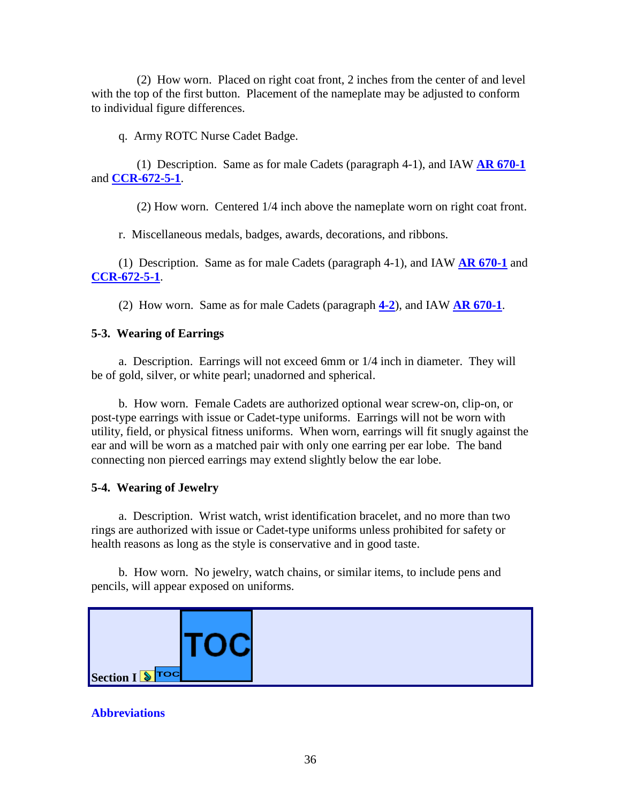(2) How worn. Placed on right coat front, 2 inches from the center of and level with the top of the first button. Placement of the nameplate may be adjusted to conform to individual figure differences.

q. Army ROTC Nurse Cadet Badge.

(1) Description. Same as for male Cadets (paragraph 4-1), and IAW **[AR 670-1](http://www.usapa.army.mil/pdffiles/r670_1.pdf)** and **[CCR-672-5-1](http://www.rightsite.usaac.army.mil/robo/projects/cc%20help/CCR_672_5_1.htm)**.

(2) How worn. Centered 1/4 inch above the nameplate worn on right coat front.

r. Miscellaneous medals, badges, awards, decorations, and ribbons.

(1) Description. Same as for male Cadets (paragraph 4-1), and IAW **[AR 670-1](http://www.usapa.army.mil/pdffiles/r670_1.pdf)** and **[CCR-672-5-1](http://www.rightsite.usaac.army.mil/robo/projects/cc%20help/CCR_672_5_1.htm)**.

(2) How worn. Same as for male Cadets (paragraph **[4-2](http://www.rightsite.usaac.army.mil/robo/projects/cc%20help/CCR_670_1.htm#BM_4_2#BM_4_2)**), and IAW **[AR 670-1](http://www.usapa.army.mil/pdffiles/r670_1.pdf)**.

### **5-3. Wearing of Earrings**

a. Description. Earrings will not exceed 6mm or 1/4 inch in diameter. They will be of gold, silver, or white pearl; unadorned and spherical.

b. How worn. Female Cadets are authorized optional wear screw-on, clip-on, or post-type earrings with issue or Cadet-type uniforms. Earrings will not be worn with utility, field, or physical fitness uniforms. When worn, earrings will fit snugly against the ear and will be worn as a matched pair with only one earring per ear lobe. The band connecting non pierced earrings may extend slightly below the ear lobe.

### **5-4. Wearing of Jewelry**

a. Description. Wrist watch, wrist identification bracelet, and no more than two rings are authorized with issue or Cadet-type uniforms unless prohibited for safety or health reasons as long as the style is conservative and in good taste.

b. How worn. No jewelry, watch chains, or similar items, to include pens and pencils, will appear exposed on uniforms.



### **Abbreviations**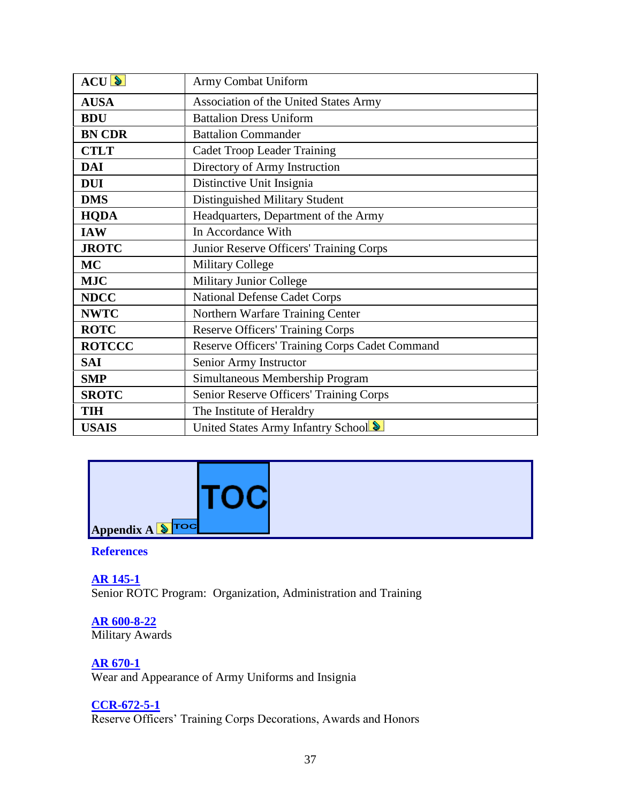| ACU           | Army Combat Uniform                            |
|---------------|------------------------------------------------|
| <b>AUSA</b>   | Association of the United States Army          |
|               |                                                |
| <b>BDU</b>    | <b>Battalion Dress Uniform</b>                 |
| <b>BN CDR</b> | <b>Battalion Commander</b>                     |
| <b>CTLT</b>   | <b>Cadet Troop Leader Training</b>             |
| <b>DAI</b>    | Directory of Army Instruction                  |
| <b>DUI</b>    | Distinctive Unit Insignia                      |
| <b>DMS</b>    | Distinguished Military Student                 |
| <b>HQDA</b>   | Headquarters, Department of the Army           |
| <b>IAW</b>    | In Accordance With                             |
| <b>JROTC</b>  | Junior Reserve Officers' Training Corps        |
| <b>MC</b>     | <b>Military College</b>                        |
| <b>MJC</b>    | <b>Military Junior College</b>                 |
| <b>NDCC</b>   | <b>National Defense Cadet Corps</b>            |
| <b>NWTC</b>   | Northern Warfare Training Center               |
| <b>ROTC</b>   | <b>Reserve Officers' Training Corps</b>        |
| <b>ROTCCC</b> | Reserve Officers' Training Corps Cadet Command |
| <b>SAI</b>    | Senior Army Instructor                         |
| <b>SMP</b>    | Simultaneous Membership Program                |
| <b>SROTC</b>  | Senior Reserve Officers' Training Corps        |
| <b>TIH</b>    | The Institute of Heraldry                      |
| <b>USAIS</b>  | United States Army Infantry School             |

<span id="page-36-0"></span>

### **[References](#page-2-4)**

**[AR 145-1](http://www.usapa.army.mil/pdffiles/r145_1.pdf)** Senior ROTC Program: Organization, Administration and Training

**AR 600-8-22** Military Awards

**[AR 670-1](http://www.usapa.army.mil/pdffiles/r670_1.pdf)** Wear and Appearance of Army Uniforms and Insignia

## **[CCR-672-5-1](http://www.rightsite.usaac.army.mil/robo/projects/cc%20help/CCR_672_5_1.htm)**

Reserve Officers' Training Corps Decorations, Awards and Honors